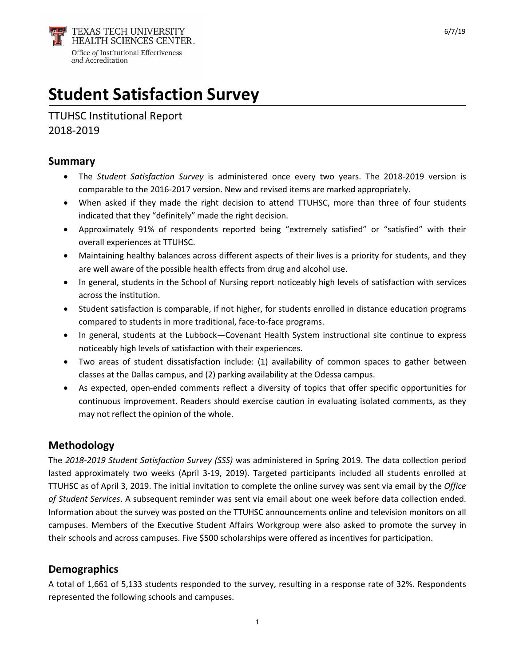

# **Student Satisfaction Survey**

TTUHSC Institutional Report 2018-2019

## **Summary**

- The *Student Satisfaction Survey* is administered once every two years. The 2018-2019 version is comparable to the 2016-2017 version. New and revised items are marked appropriately.
- When asked if they made the right decision to attend TTUHSC, more than three of four students indicated that they "definitely" made the right decision.
- Approximately 91% of respondents reported being "extremely satisfied" or "satisfied" with their overall experiences at TTUHSC.
- Maintaining healthy balances across different aspects of their lives is a priority for students, and they are well aware of the possible health effects from drug and alcohol use.
- In general, students in the School of Nursing report noticeably high levels of satisfaction with services across the institution.
- Student satisfaction is comparable, if not higher, for students enrolled in distance education programs compared to students in more traditional, face-to-face programs.
- In general, students at the Lubbock—Covenant Health System instructional site continue to express noticeably high levels of satisfaction with their experiences.
- Two areas of student dissatisfaction include: (1) availability of common spaces to gather between classes at the Dallas campus, and (2) parking availability at the Odessa campus.
- As expected, open-ended comments reflect a diversity of topics that offer specific opportunities for continuous improvement. Readers should exercise caution in evaluating isolated comments, as they may not reflect the opinion of the whole.

# **Methodology**

The *2018-2019 Student Satisfaction Survey (SSS)* was administered in Spring 2019. The data collection period lasted approximately two weeks (April 3-19, 2019). Targeted participants included all students enrolled at TTUHSC as of April 3, 2019. The initial invitation to complete the online survey was sent via email by the *Office of Student Services*. A subsequent reminder was sent via email about one week before data collection ended. Information about the survey was posted on the TTUHSC announcements online and television monitors on all campuses. Members of the Executive Student Affairs Workgroup were also asked to promote the survey in their schools and across campuses. Five \$500 scholarships were offered as incentives for participation.

# **Demographics**

A total of 1,661 of 5,133 students responded to the survey, resulting in a response rate of 32%. Respondents represented the following schools and campuses.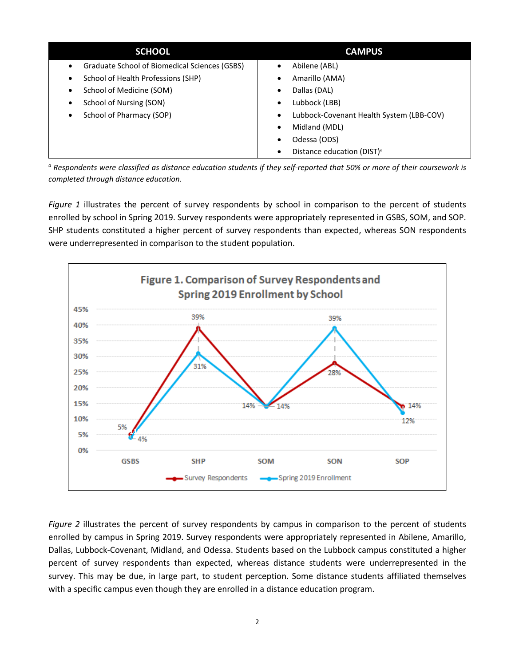| <b>SCHOOL</b>                                 | <b>CAMPUS</b>                               |
|-----------------------------------------------|---------------------------------------------|
| Graduate School of Biomedical Sciences (GSBS) | Abilene (ABL)                               |
| $\bullet$                                     | $\bullet$                                   |
| School of Health Professions (SHP)            | Amarillo (AMA)                              |
| $\bullet$                                     | ٠                                           |
| School of Medicine (SOM)                      | Dallas (DAL)                                |
| $\bullet$                                     | ٠                                           |
| School of Nursing (SON)                       | Lubbock (LBB)                               |
| $\bullet$                                     | $\bullet$                                   |
| School of Pharmacy (SOP)                      | Lubbock-Covenant Health System (LBB-COV)    |
| $\bullet$                                     | $\bullet$                                   |
|                                               | Midland (MDL)<br>$\bullet$                  |
|                                               | Odessa (ODS)<br>٠                           |
|                                               | Distance education (DIST) <sup>a</sup><br>٠ |

*<sup>a</sup> Respondents were classified as distance education students if they self-reported that 50% or more of their coursework is completed through distance education.*

*Figure 1* illustrates the percent of survey respondents by school in comparison to the percent of students enrolled by school in Spring 2019. Survey respondents were appropriately represented in GSBS, SOM, and SOP. SHP students constituted a higher percent of survey respondents than expected, whereas SON respondents were underrepresented in comparison to the student population.



*Figure 2* illustrates the percent of survey respondents by campus in comparison to the percent of students enrolled by campus in Spring 2019. Survey respondents were appropriately represented in Abilene, Amarillo, Dallas, Lubbock-Covenant, Midland, and Odessa. Students based on the Lubbock campus constituted a higher percent of survey respondents than expected, whereas distance students were underrepresented in the survey. This may be due, in large part, to student perception. Some distance students affiliated themselves with a specific campus even though they are enrolled in a distance education program.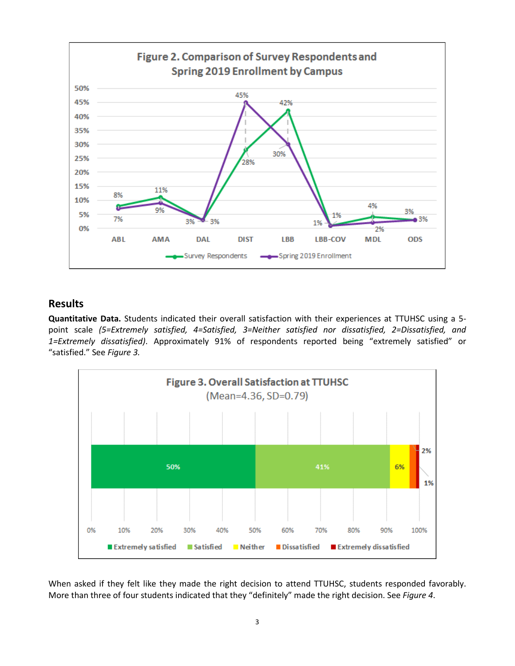

#### **Results**

**Quantitative Data.** Students indicated their overall satisfaction with their experiences at TTUHSC using a 5 point scale *(5=Extremely satisfied, 4=Satisfied, 3=Neither satisfied nor dissatisfied, 2=Dissatisfied, and 1=Extremely dissatisfied)*. Approximately 91% of respondents reported being "extremely satisfied" or "satisfied." See *Figure 3.*



When asked if they felt like they made the right decision to attend TTUHSC, students responded favorably. More than three of four students indicated that they "definitely" made the right decision. See *Figure 4*.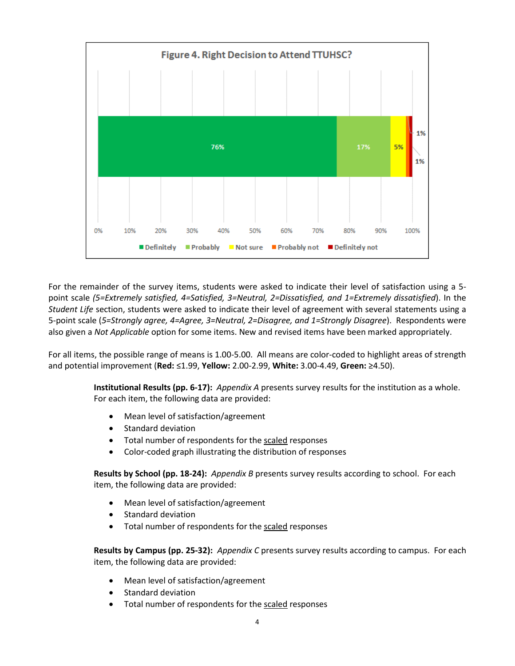

For the remainder of the survey items, students were asked to indicate their level of satisfaction using a 5 point scale *(5=Extremely satisfied, 4=Satisfied, 3=Neutral, 2=Dissatisfied, and 1=Extremely dissatisfied*). In the *Student Life* section, students were asked to indicate their level of agreement with several statements using a 5-point scale (*5=Strongly agree, 4=Agree, 3=Neutral, 2=Disagree, and 1=Strongly Disagree*). Respondents were also given a *Not Applicable* option for some items. New and revised items have been marked appropriately.

For all items, the possible range of means is 1.00-5.00. All means are color-coded to highlight areas of strength and potential improvement (**Red:** ≤1.99, **Yellow:** 2.00-2.99, **White:** 3.00-4.49, **Green:** ≥4.50).

> **Institutional Results (pp. 6-17):** *Appendix A* presents survey results for the institution as a whole. For each item, the following data are provided:

- Mean level of satisfaction/agreement
- Standard deviation
- Total number of respondents for the scaled responses
- Color-coded graph illustrating the distribution of responses

**Results by School (pp. 18-24):** *Appendix B* presents survey results according to school. For each item, the following data are provided:

- Mean level of satisfaction/agreement
- Standard deviation
- Total number of respondents for the scaled responses

**Results by Campus (pp. 25-32):** *Appendix C* presents survey results according to campus. For each item, the following data are provided:

- Mean level of satisfaction/agreement
- Standard deviation
- Total number of respondents for the scaled responses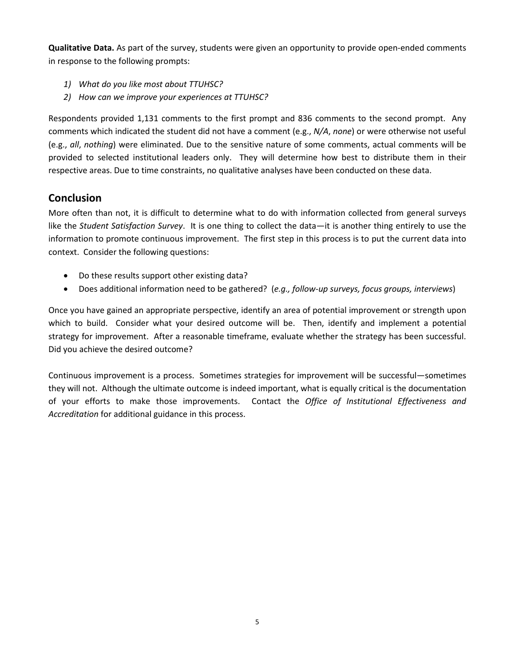**Qualitative Data.** As part of the survey, students were given an opportunity to provide open-ended comments in response to the following prompts:

- *1) What do you like most about TTUHSC?*
- *2) How can we improve your experiences at TTUHSC?*

Respondents provided 1,131 comments to the first prompt and 836 comments to the second prompt. Any comments which indicated the student did not have a comment (e.g., *N/A*, *none*) or were otherwise not useful (e.g., *all*, *nothing*) were eliminated. Due to the sensitive nature of some comments, actual comments will be provided to selected institutional leaders only. They will determine how best to distribute them in their respective areas. Due to time constraints, no qualitative analyses have been conducted on these data.

#### **Conclusion**

More often than not, it is difficult to determine what to do with information collected from general surveys like the *Student Satisfaction Survey*. It is one thing to collect the data—it is another thing entirely to use the information to promote continuous improvement. The first step in this process is to put the current data into context. Consider the following questions:

- Do these results support other existing data?
- Does additional information need to be gathered? (*e.g., follow-up surveys, focus groups, interviews*)

Once you have gained an appropriate perspective, identify an area of potential improvement or strength upon which to build. Consider what your desired outcome will be. Then, identify and implement a potential strategy for improvement. After a reasonable timeframe, evaluate whether the strategy has been successful. Did you achieve the desired outcome?

Continuous improvement is a process. Sometimes strategies for improvement will be successful—sometimes they will not. Although the ultimate outcome is indeed important, what is equally critical is the documentation of your efforts to make those improvements. Contact the *Office of Institutional Effectiveness and Accreditation* for additional guidance in this process.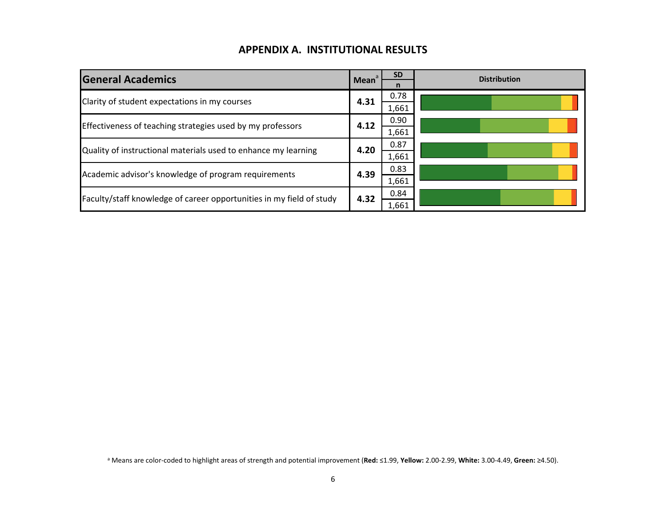## **APPENDIX A. INSTITUTIONAL RESULTS**

| <b>General Academics</b>                                             | Mean <sup>a</sup> | <b>SD</b><br>n | <b>Distribution</b> |
|----------------------------------------------------------------------|-------------------|----------------|---------------------|
| Clarity of student expectations in my courses                        | 4.31              | 0.78<br>1,661  |                     |
|                                                                      |                   | 0.90           |                     |
| Effectiveness of teaching strategies used by my professors           | 4.12              | 1,661          |                     |
| Quality of instructional materials used to enhance my learning       | 4.20              | 0.87           |                     |
|                                                                      |                   | 1,661          |                     |
| Academic advisor's knowledge of program requirements                 | 4.39              | 0.83           |                     |
|                                                                      |                   | 1,661          |                     |
| Faculty/staff knowledge of career opportunities in my field of study | 4.32              | 0.84           |                     |
|                                                                      |                   | 1,661          |                     |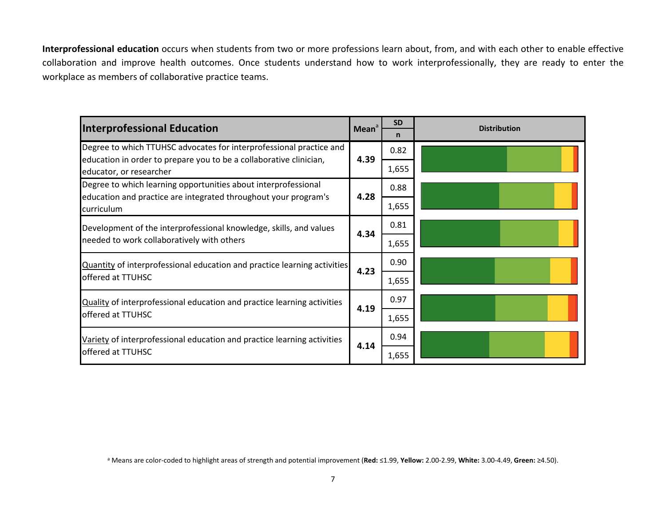**Interprofessional education** occurs when students from two or more professions learn about, from, and with each other to enable effective collaboration and improve health outcomes. Once students understand how to work interprofessionally, they are ready to enter the workplace as members of collaborative practice teams.

| <b>Interprofessional Education</b>                                                            | Mean <sup>a</sup> | <b>SD</b> | <b>Distribution</b> |
|-----------------------------------------------------------------------------------------------|-------------------|-----------|---------------------|
|                                                                                               |                   | n         |                     |
| Degree to which TTUHSC advocates for interprofessional practice and                           |                   | 0.82      |                     |
| education in order to prepare you to be a collaborative clinician,<br>educator, or researcher | 4.39              | 1,655     |                     |
| Degree to which learning opportunities about interprofessional                                |                   | 0.88      |                     |
| education and practice are integrated throughout your program's<br><b>curriculum</b>          | 4.28              | 1,655     |                     |
| Development of the interprofessional knowledge, skills, and values                            | 4.34              | 0.81      |                     |
| needed to work collaboratively with others                                                    |                   | 1,655     |                     |
| Quantity of interprofessional education and practice learning activities                      | 4.23              | 0.90      |                     |
| offered at TTUHSC                                                                             |                   | 1,655     |                     |
| Quality of interprofessional education and practice learning activities                       | 4.19              | 0.97      |                     |
| offered at TTUHSC                                                                             |                   | 1,655     |                     |
| Variety of interprofessional education and practice learning activities                       |                   | 0.94      |                     |
| offered at TTUHSC                                                                             | 4.14              | 1,655     |                     |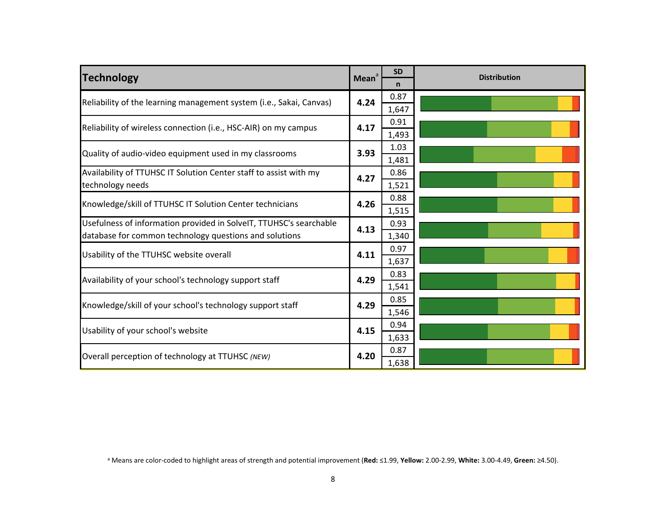| Technology                                                                                                                   | <b>Mean</b> | <b>SD</b><br>n | <b>Distribution</b> |
|------------------------------------------------------------------------------------------------------------------------------|-------------|----------------|---------------------|
| Reliability of the learning management system (i.e., Sakai, Canvas)                                                          | 4.24        | 0.87<br>1,647  |                     |
| Reliability of wireless connection (i.e., HSC-AIR) on my campus                                                              | 4.17        | 0.91<br>1,493  |                     |
| Quality of audio-video equipment used in my classrooms                                                                       | 3.93        | 1.03<br>1,481  |                     |
| Availability of TTUHSC IT Solution Center staff to assist with my<br>technology needs                                        | 4.27        | 0.86<br>1,521  |                     |
| Knowledge/skill of TTUHSC IT Solution Center technicians                                                                     | 4.26        | 0.88<br>1,515  |                     |
| Usefulness of information provided in SolveIT, TTUHSC's searchable<br>database for common technology questions and solutions | 4.13        | 0.93<br>1,340  |                     |
| Usability of the TTUHSC website overall                                                                                      | 4.11        | 0.97<br>1,637  |                     |
| Availability of your school's technology support staff                                                                       | 4.29        | 0.83<br>1,541  |                     |
| Knowledge/skill of your school's technology support staff                                                                    | 4.29        | 0.85<br>1,546  |                     |
| Usability of your school's website                                                                                           | 4.15        | 0.94<br>1,633  |                     |
| Overall perception of technology at TTUHSC (NEW)                                                                             | 4.20        | 0.87<br>1,638  |                     |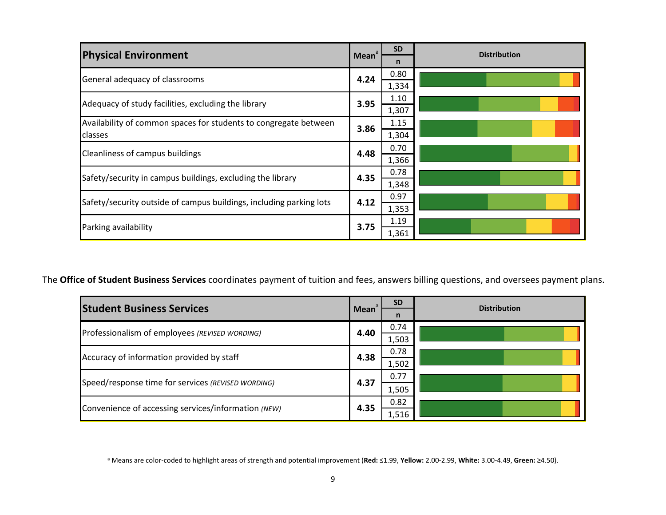| <b>Physical Environment</b>                                                 | Mean <sup>a</sup> | <b>SD</b><br>n | <b>Distribution</b> |
|-----------------------------------------------------------------------------|-------------------|----------------|---------------------|
| General adequacy of classrooms                                              | 4.24              | 0.80<br>1,334  |                     |
| Adequacy of study facilities, excluding the library                         | 3.95              | 1.10<br>1,307  |                     |
| Availability of common spaces for students to congregate between<br>classes | 3.86              | 1.15<br>1,304  |                     |
| Cleanliness of campus buildings                                             | 4.48              | 0.70           |                     |
| Safety/security in campus buildings, excluding the library                  | 4.35              | 1,366<br>0.78  |                     |
| Safety/security outside of campus buildings, including parking lots         | 4.12              | 1,348<br>0.97  |                     |
| Parking availability                                                        | 3.75              | 1,353<br>1.19  |                     |
|                                                                             |                   | 1,361          |                     |

The **Office of Student Business Services** coordinates payment of tuition and fees, answers billing questions, and oversees payment plans.

| <b>Student Business Services</b>                    |       | <b>SD</b> | <b>Distribution</b> |  |
|-----------------------------------------------------|-------|-----------|---------------------|--|
|                                                     | Mean  |           |                     |  |
| Professionalism of employees (REVISED WORDING)      | 4.40  | 0.74      |                     |  |
|                                                     |       | 1,503     |                     |  |
| Accuracy of information provided by staff           | 4.38  | 0.78      |                     |  |
|                                                     | 1,502 |           |                     |  |
|                                                     |       |           | 0.77                |  |
| Speed/response time for services (REVISED WORDING)  | 4.37  | 1,505     |                     |  |
| 4.35                                                | 0.82  |           |                     |  |
| Convenience of accessing services/information (NEW) |       | 1,516     |                     |  |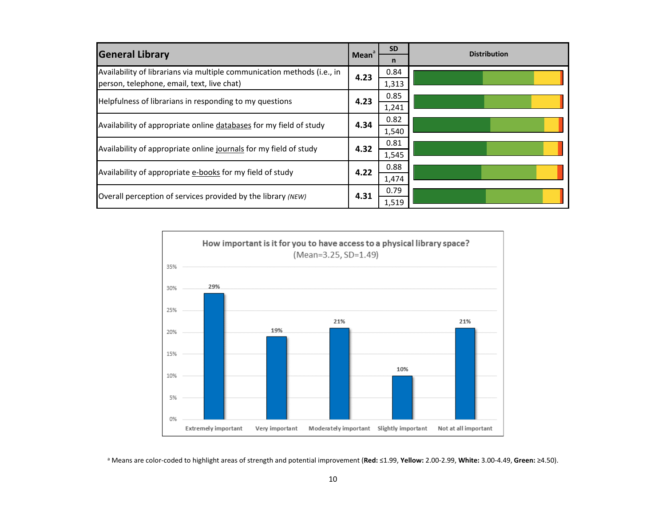| <b>General Library</b>                                                  | Mean <sup>a</sup> | <b>SD</b>    | <b>Distribution</b> |
|-------------------------------------------------------------------------|-------------------|--------------|---------------------|
|                                                                         |                   | $\mathsf{n}$ |                     |
| Availability of librarians via multiple communication methods (i.e., in | 4.23              | 0.84         |                     |
| person, telephone, email, text, live chat)                              |                   | 1,313        |                     |
|                                                                         |                   | 0.85         |                     |
| Helpfulness of librarians in responding to my questions                 | 4.23              | 1,241        |                     |
|                                                                         | 0.82              |              |                     |
| Availability of appropriate online databases for my field of study      | 4.34              | 1,540        |                     |
|                                                                         | 4.32              | 0.81         |                     |
| Availability of appropriate online journals for my field of study       |                   | 1,545        |                     |
|                                                                         |                   | 0.88         |                     |
| 4.22<br>Availability of appropriate e-books for my field of study       | 1,474             |              |                     |
|                                                                         |                   | 0.79         |                     |
| Overall perception of services provided by the library (NEW)            | 4.31              | 1,519        |                     |

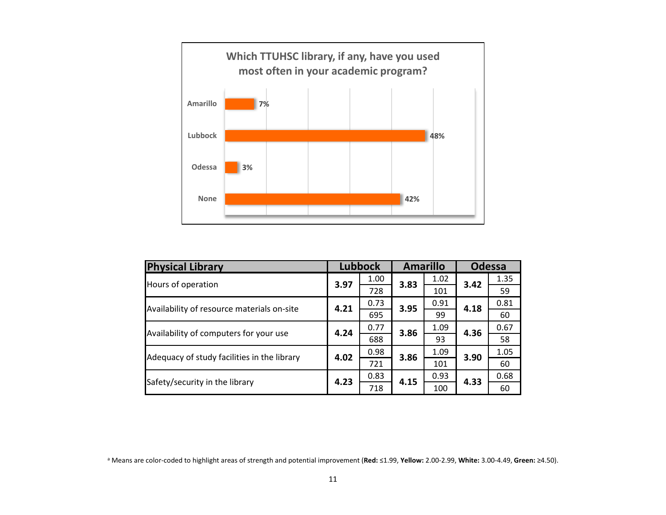

| <b>Physical Library</b>                     |      | <b>Lubbock</b> |      | <b>Amarillo</b> |      | <b>Odessa</b> |  |  |
|---------------------------------------------|------|----------------|------|-----------------|------|---------------|--|--|
| Hours of operation                          | 3.97 | 1.00           | 3.83 | 1.02            | 3.42 | 1.35          |  |  |
|                                             |      | 728            |      | 101             |      | 59            |  |  |
| Availability of resource materials on-site  |      | 0.73           | 3.95 | 0.91            | 4.18 | 0.81          |  |  |
|                                             | 4.21 | 695            |      | 99              |      | 60            |  |  |
| Availability of computers for your use      | 4.24 | 0.77           | 3.86 | 1.09            | 4.36 | 0.67          |  |  |
|                                             |      | 688            |      | 93              |      | 58            |  |  |
| Adequacy of study facilities in the library |      | 0.98           | 3.86 | 1.09            | 3.90 | 1.05          |  |  |
|                                             | 4.02 | 721            |      | 101             |      | 60            |  |  |
| Safety/security in the library              | 4.23 | 0.83           |      | 0.93            | 4.33 | 0.68          |  |  |
|                                             |      | 718            | 4.15 | 100             |      | 60            |  |  |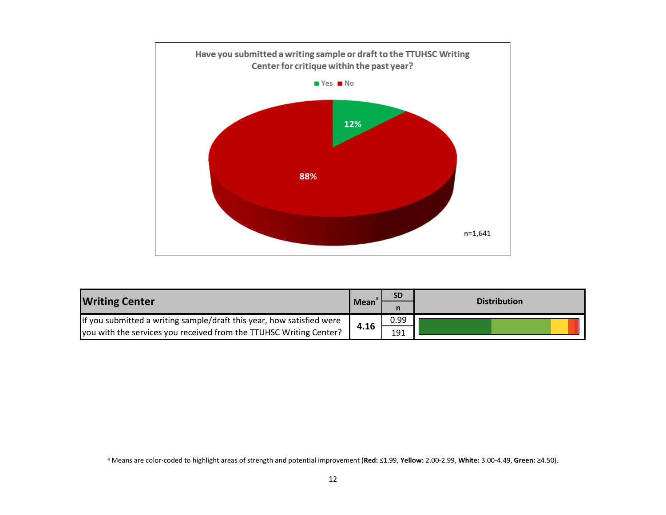

| <b>Writing Center</b>                                                 | $\blacksquare$ Mean <sup>a</sup> | <b>SD</b> | <b>Distribution</b> |  |
|-----------------------------------------------------------------------|----------------------------------|-----------|---------------------|--|
|                                                                       |                                  |           |                     |  |
| If you submitted a writing sample/draft this year, how satisfied were |                                  | 0.99      |                     |  |
| you with the services you received from the TTUHSC Writing Center?    | 4.16                             | 191       |                     |  |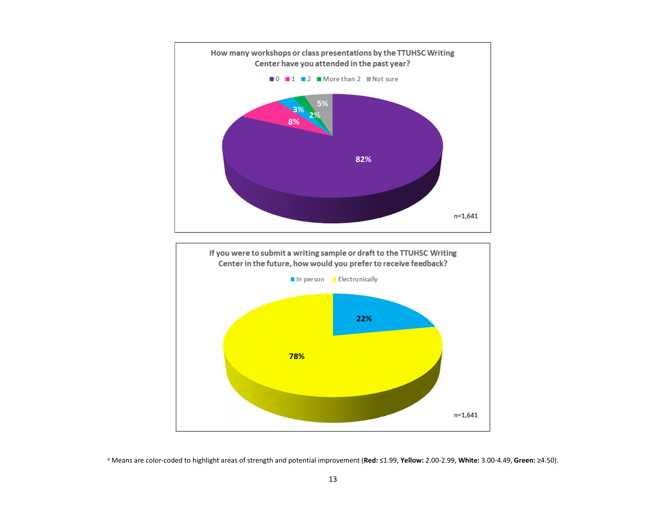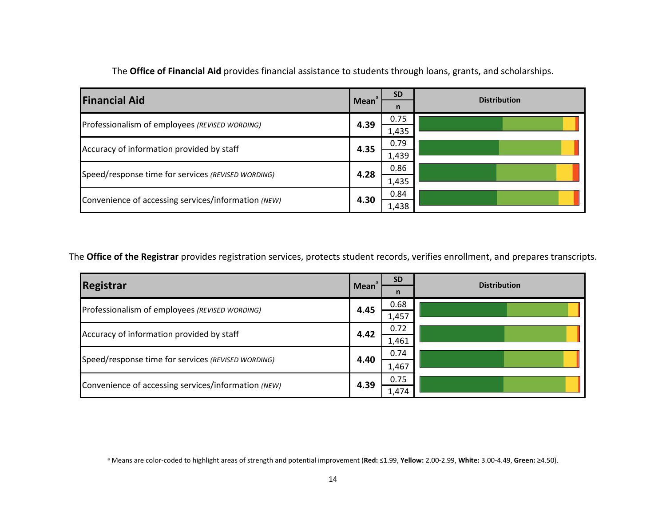| <b>Financial Aid</b>                                | Mean | <b>SD</b><br>n | <b>Distribution</b> |
|-----------------------------------------------------|------|----------------|---------------------|
| Professionalism of employees (REVISED WORDING)      | 4.39 | 0.75<br>1,435  |                     |
| Accuracy of information provided by staff           | 4.35 | 0.79<br>1,439  |                     |
| Speed/response time for services (REVISED WORDING)  | 4.28 | 0.86<br>1,435  |                     |
| Convenience of accessing services/information (NEW) | 4.30 | 0.84<br>1,438  |                     |

The **Office of Financial Aid** provides financial assistance to students through loans, grants, and scholarships.

The **Office of the Registrar** provides registration services, protects student records, verifies enrollment, and prepares transcripts.

| <b>Registrar</b>                                    |             | <b>SD</b> | <b>Distribution</b> |  |
|-----------------------------------------------------|-------------|-----------|---------------------|--|
|                                                     | <b>Mean</b> | n         |                     |  |
| Professionalism of employees (REVISED WORDING)      | 4.45        | 0.68      |                     |  |
|                                                     |             | 1,457     |                     |  |
| Accuracy of information provided by staff           | 4.42        | 0.72      |                     |  |
|                                                     |             | 1,461     |                     |  |
| Speed/response time for services (REVISED WORDING)  | 4.40        | 0.74      |                     |  |
|                                                     |             |           | 1,467               |  |
| Convenience of accessing services/information (NEW) | 4.39        | 0.75      |                     |  |
|                                                     |             | 1,474     |                     |  |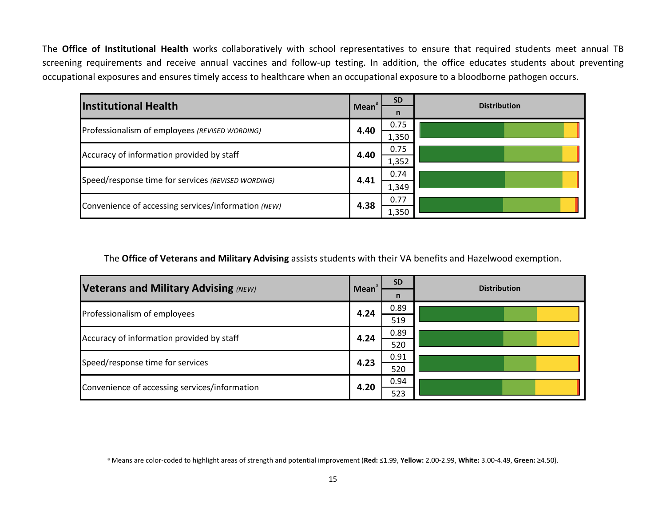The **Office of Institutional Health** works collaboratively with school representatives to ensure that required students meet annual TB screening requirements and receive annual vaccines and follow-up testing. In addition, the office educates students about preventing occupational exposures and ensures timely access to healthcare when an occupational exposure to a bloodborne pathogen occurs.

| <b>Institutional Health</b>                                | Mean <sup>a</sup>                                 | <b>SD</b>    | <b>Distribution</b> |
|------------------------------------------------------------|---------------------------------------------------|--------------|---------------------|
|                                                            |                                                   | $\mathsf{n}$ |                     |
| Professionalism of employees (REVISED WORDING)             | 4.40                                              | 0.75         |                     |
|                                                            |                                                   | 1,350        |                     |
|                                                            | 4.40<br>Accuracy of information provided by staff | 0.75         |                     |
|                                                            |                                                   | 1,352        |                     |
|                                                            |                                                   | 0.74         |                     |
| Speed/response time for services (REVISED WORDING)<br>4.41 | 1,349                                             |              |                     |
|                                                            | 0.77                                              |              |                     |
| Convenience of accessing services/information (NEW)        | 4.38                                              | 1,350        |                     |

The **Office of Veterans and Military Advising** assists students with their VA benefits and Hazelwood exemption.

| <b>Veterans and Military Advising (NEW)</b>   | Mean <sup>a</sup> | <b>SD</b>    | <b>Distribution</b> |
|-----------------------------------------------|-------------------|--------------|---------------------|
|                                               |                   | $\mathsf{n}$ |                     |
| Professionalism of employees                  | 4.24              | 0.89         |                     |
|                                               |                   | 519          |                     |
| Accuracy of information provided by staff     | 4.24              | 0.89         |                     |
|                                               |                   | 520          |                     |
| Speed/response time for services              | 4.23              | 0.91         |                     |
|                                               |                   | 520          |                     |
| Convenience of accessing services/information | 4.20              | 0.94         |                     |
|                                               |                   | 523          |                     |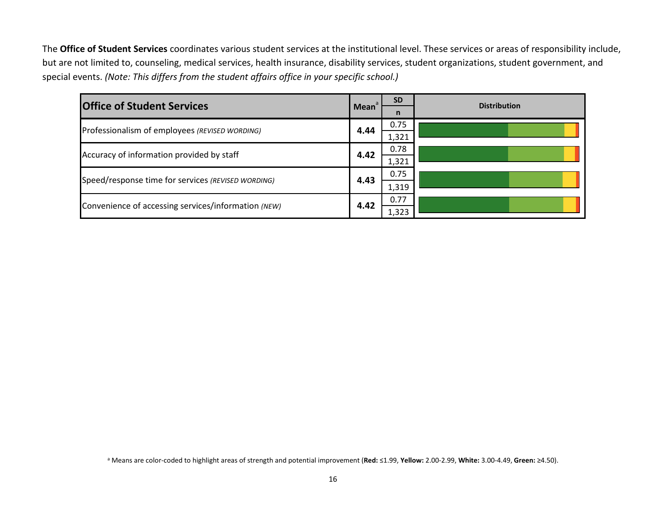The **Office of Student Services** coordinates various student services at the institutional level. These services or areas of responsibility include, but are not limited to, counseling, medical services, health insurance, disability services, student organizations, student government, and special events. *(Note: This differs from the student affairs office in your specific school.)*

| <b>Office of Student Services</b>                   | Mean <sup>a</sup> | <b>SD</b> | <b>Distribution</b> |
|-----------------------------------------------------|-------------------|-----------|---------------------|
|                                                     |                   | n         |                     |
| Professionalism of employees (REVISED WORDING)      | 4.44              | 0.75      |                     |
|                                                     |                   | 1,321     |                     |
| Accuracy of information provided by staff           | 4.42              | 0.78      |                     |
|                                                     |                   | 1,321     |                     |
| Speed/response time for services (REVISED WORDING)  | 4.43              | 0.75      |                     |
|                                                     |                   | 1,319     |                     |
| Convenience of accessing services/information (NEW) | 4.42              | 0.77      |                     |
|                                                     |                   | 1,323     |                     |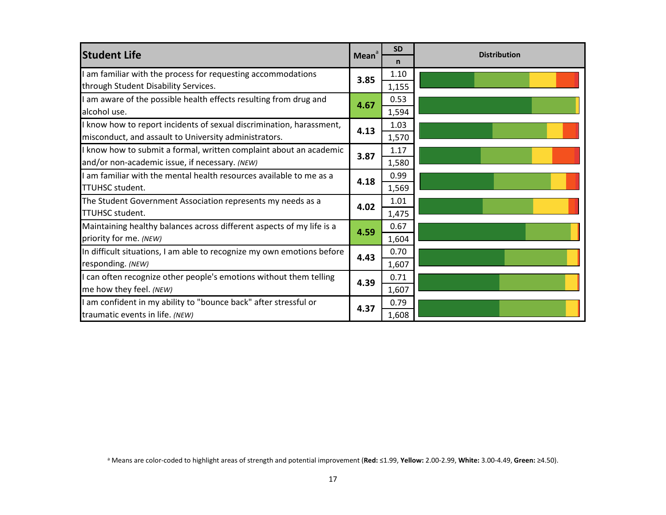| <b>Student Life</b>                                                                                                           | Mean <sup>a</sup> | <b>SD</b><br>n | <b>Distribution</b> |
|-------------------------------------------------------------------------------------------------------------------------------|-------------------|----------------|---------------------|
| I am familiar with the process for requesting accommodations<br>through Student Disability Services.                          | 3.85              | 1.10<br>1,155  |                     |
| I am aware of the possible health effects resulting from drug and<br>alcohol use.                                             | 4.67              | 0.53<br>1,594  |                     |
| I know how to report incidents of sexual discrimination, harassment,<br>misconduct, and assault to University administrators. | 4.13              | 1.03<br>1,570  |                     |
| I know how to submit a formal, written complaint about an academic<br>and/or non-academic issue, if necessary. (NEW)          | 3.87              | 1.17<br>1,580  |                     |
| I am familiar with the mental health resources available to me as a<br><b>TTUHSC student.</b>                                 | 4.18              | 0.99<br>1,569  |                     |
| The Student Government Association represents my needs as a<br><b>TTUHSC student.</b>                                         | 4.02              | 1.01<br>1,475  |                     |
| Maintaining healthy balances across different aspects of my life is a<br>priority for me. (NEW)                               | 4.59              | 0.67<br>1,604  |                     |
| In difficult situations, I am able to recognize my own emotions before<br>responding. (NEW)                                   | 4.43              | 0.70<br>1,607  |                     |
| I can often recognize other people's emotions without them telling<br>me how they feel. (NEW)                                 | 4.39              | 0.71<br>1,607  |                     |
| I am confident in my ability to "bounce back" after stressful or<br>traumatic events in life. (NEW)                           | 4.37              | 0.79<br>1,608  |                     |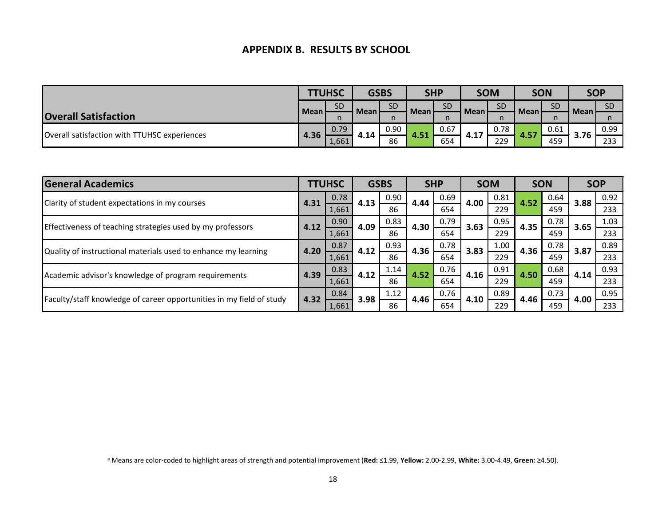#### **APPENDIX B. RESULTS BY SCHOOL**

|                                              |             | <b>TTUHSC</b> | <b>GSBS</b> |      | <b>SHP</b>  |           |             | <b>SOM</b> | <b>SON</b>  |           |             | <b>SOP</b> |
|----------------------------------------------|-------------|---------------|-------------|------|-------------|-----------|-------------|------------|-------------|-----------|-------------|------------|
|                                              | <b>Mean</b> | <b>SD</b>     |             | SD   | <b>Mean</b> | <b>SD</b> | <b>Mean</b> | <b>SD</b>  |             | <b>SD</b> |             | <b>SD</b>  |
| <b>Overall Satisfaction</b>                  |             | n             | Mean'       | n    |             |           |             |            | <b>Mean</b> |           | <b>Mean</b> |            |
| Overall satisfaction with TTUHSC experiences | 4.36        | 0.79          | 4.14        | 0.90 | 4.51        | 0.67      | 4.17        | 0.78       | 4.57        | 0.61      | 3.76        | 0.99       |
|                                              |             | 1,661         |             | 86   |             | 654       |             | 229        |             | 459       |             | 233        |

| <b>General Academics</b>                                             |      | <b>TTUHSC</b> |      | <b>GSBS</b> |      | <b>SHP</b> |      |      |      |      |      |      |  | <b>SOM</b> |  | <b>SON</b> |  | <b>SOP</b> |
|----------------------------------------------------------------------|------|---------------|------|-------------|------|------------|------|------|------|------|------|------|--|------------|--|------------|--|------------|
| Clarity of student expectations in my courses                        | 4.31 | 0.78          |      | 0.90        | 4.44 | 0.69       | 4.00 | 0.81 | 4.52 | 0.64 | 3.88 | 0.92 |  |            |  |            |  |            |
|                                                                      |      | 1,661         | 4.13 | 86          |      | 654        |      | 229  |      | 459  |      | 233  |  |            |  |            |  |            |
| Effectiveness of teaching strategies used by my professors           | 4.12 | 0.90          | 4.09 | 0.83        | 4.30 | 0.79       | 3.63 | 0.95 | 4.35 | 0.78 | 3.65 | 1.03 |  |            |  |            |  |            |
|                                                                      |      | 1,661         |      | 86          |      | 654        |      | 229  |      | 459  |      | 233  |  |            |  |            |  |            |
| Quality of instructional materials used to enhance my learning       | 4.20 | 0.87          | 4.12 | 0.93        | 4.36 | 0.78       | 3.83 | 1.00 | 4.36 | 0.78 | 3.87 | 0.89 |  |            |  |            |  |            |
|                                                                      |      | 1,661         |      | 86          |      | 654        |      | 229  |      | 459  |      | 233  |  |            |  |            |  |            |
| Academic advisor's knowledge of program requirements                 | 4.39 | 0.83          | 4.12 | 1.14        | 4.52 | 0.76       | 4.16 | 0.91 | 4.50 | 0.68 | 4.14 | 0.93 |  |            |  |            |  |            |
|                                                                      |      | 1,661         |      | 86          |      | 654        |      | 229  |      | 459  |      | 233  |  |            |  |            |  |            |
| Faculty/staff knowledge of career opportunities in my field of study | 4.32 | 0.84          | 3.98 | 1.12        | 4.46 | 0.76       | 4.10 | 0.89 | 4.46 | 0.73 | 4.00 | 0.95 |  |            |  |            |  |            |
|                                                                      |      | 1,661         |      | 86          |      | 654        |      | 229  |      | 459  |      | 233  |  |            |  |            |  |            |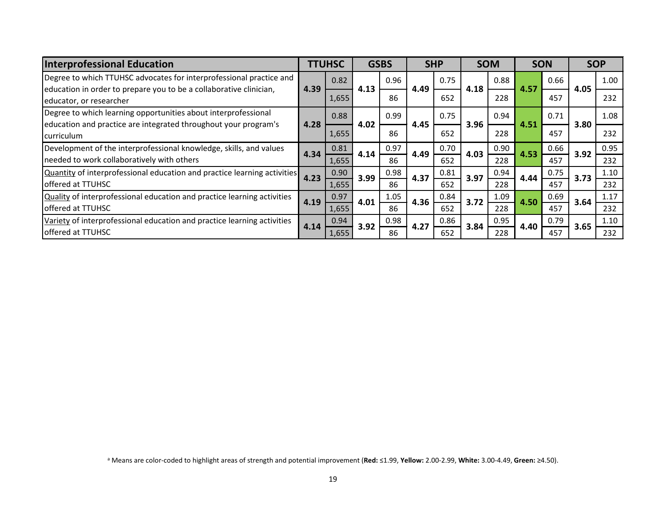| <b>Interprofessional Education</b>                                                            |      | <b>TTUHSC</b> |      | <b>GSBS</b> |      | <b>SHP</b> |      |      |      | <b>SOM</b> | <b>SON</b> |      |  | <b>SOP</b> |
|-----------------------------------------------------------------------------------------------|------|---------------|------|-------------|------|------------|------|------|------|------------|------------|------|--|------------|
| Degree to which TTUHSC advocates for interprofessional practice and                           | 4.39 | 0.82          | 4.13 | 0.96        |      | 0.75       |      | 0.88 |      | 0.66       |            | 1.00 |  |            |
| education in order to prepare you to be a collaborative clinician,<br>educator, or researcher |      | 1,655         |      | 86          | 4.49 | 652        | 4.18 | 228  | 4.57 | 457        | 4.05       | 232  |  |            |
| Degree to which learning opportunities about interprofessional                                |      | 0.88          |      | 0.99        |      | 0.75       |      | 0.94 |      | 0.71       |            | 1.08 |  |            |
| education and practice are integrated throughout your program's<br>curriculum                 | 4.28 | 1,655         | 4.02 | 86          | 4.45 | 652        | 3.96 | 228  | 4.51 | 457        | 3.80       | 232  |  |            |
| Development of the interprofessional knowledge, skills, and values                            | 4.34 | 0.81          | 4.14 | 0.97        | 4.49 | 0.70       | 4.03 | 0.90 | 4.53 | 0.66       | 3.92       | 0.95 |  |            |
| needed to work collaboratively with others                                                    |      | 1,655         |      | 86          |      | 652        |      | 228  |      | 457        |            | 232  |  |            |
| Quantity of interprofessional education and practice learning activities                      | 4.23 | 0.90          | 3.99 | 0.98        | 4.37 | 0.81       | 3.97 | 0.94 | 4.44 | 0.75       | 3.73       | 1.10 |  |            |
| offered at TTUHSC                                                                             |      | 1,655         |      | 86          |      | 652        |      | 228  |      | 457        |            | 232  |  |            |
| Quality of interprofessional education and practice learning activities                       | 4.19 | 0.97          | 4.01 | 1.05        | 4.36 | 0.84       | 3.72 | 1.09 | 4.50 | 0.69       | 3.64       | 1.17 |  |            |
| <b>l</b> offered at TTUHSC                                                                    |      | 1,655         |      | 86          |      | 652        |      | 228  |      | 457        |            | 232  |  |            |
| Variety of interprofessional education and practice learning activities                       | 4.14 | 0.94          | 3.92 | 0.98        | 4.27 | 0.86       | 3.84 | 0.95 | 4.40 | 0.79       | 3.65       | 1.10 |  |            |
| <b>offered at TTUHSC</b>                                                                      |      | 1,655         |      | 86          |      | 652        |      | 228  |      | 457        |            | 232  |  |            |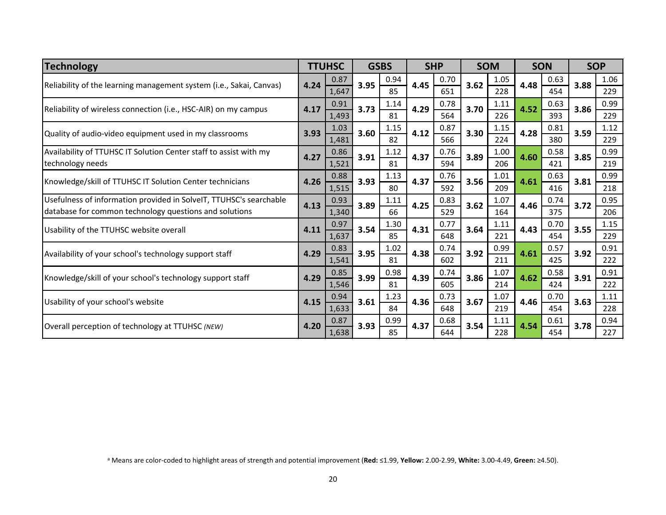| <b>Technology</b>                                                   |      | <b>TTUHSC</b> |      | <b>GSBS</b> |      | <b>SHP</b> |      | <b>SOM</b> |      | <b>SON</b> |      | <b>SOP</b> |
|---------------------------------------------------------------------|------|---------------|------|-------------|------|------------|------|------------|------|------------|------|------------|
| Reliability of the learning management system (i.e., Sakai, Canvas) | 4.24 | 0.87          | 3.95 | 0.94        | 4.45 | 0.70       | 3.62 | 1.05       | 4.48 | 0.63       | 3.88 | 1.06       |
|                                                                     |      | 1,647         |      | 85          |      | 651        |      | 228        |      | 454        |      | 229        |
| Reliability of wireless connection (i.e., HSC-AIR) on my campus     | 4.17 | 0.91          | 3.73 | 1.14        | 4.29 | 0.78       | 3.70 | 1.11       | 4.52 | 0.63       | 3.86 | 0.99       |
|                                                                     |      | 1,493         |      | 81          |      | 564        |      | 226        |      | 393        |      | 229        |
| Quality of audio-video equipment used in my classrooms              | 3.93 | 1.03          | 3.60 | 1.15        | 4.12 | 0.87       | 3.30 | 1.15       | 4.28 | 0.81       | 3.59 | 1.12       |
|                                                                     |      | 1,481         |      | 82          |      | 566        |      | 224        |      | 380        |      | 229        |
| Availability of TTUHSC IT Solution Center staff to assist with my   | 4.27 | 0.86          | 3.91 | 1.12        | 4.37 | 0.76       | 3.89 | 1.00       | 4.60 | 0.58       | 3.85 | 0.99       |
| technology needs                                                    |      | 1,521         |      | 81          |      | 594        |      | 206        |      | 421        |      | 219        |
| Knowledge/skill of TTUHSC IT Solution Center technicians            | 4.26 | 0.88          | 3.93 | 1.13        | 4.37 | 0.76       | 3.56 | 1.01       | 4.61 | 0.63       | 3.81 | 0.99       |
|                                                                     |      | 1,515         |      | 80          |      | 592        |      | 209        |      | 416        |      | 218        |
| Usefulness of information provided in SolveIT, TTUHSC's searchable  | 4.13 | 0.93          | 3.89 | 1.11        | 4.25 | 0.83       | 3.62 | 1.07       | 4.46 | 0.74       | 3.72 | 0.95       |
| database for common technology questions and solutions              |      | 1,340         |      | 66          |      | 529        |      | 164        |      | 375        |      | 206        |
| Usability of the TTUHSC website overall                             | 4.11 | 0.97          | 3.54 | 1.30        | 4.31 | 0.77       | 3.64 | 1.11       | 4.43 | 0.70       | 3.55 | 1.15       |
|                                                                     |      | 1,637         |      | 85          |      | 648        |      | 221        |      | 454        |      | 229        |
| Availability of your school's technology support staff              | 4.29 | 0.83          | 3.95 | 1.02        | 4.38 | 0.74       | 3.92 | 0.99       | 4.61 | 0.57       | 3.92 | 0.91       |
|                                                                     |      | 1,541         |      | 81          |      | 602        |      | 211        |      | 425        |      | 222        |
| Knowledge/skill of your school's technology support staff           | 4.29 | 0.85          | 3.99 | 0.98        | 4.39 | 0.74       | 3.86 | 1.07       | 4.62 | 0.58       | 3.91 | 0.91       |
|                                                                     |      | 1,546         |      | 81          |      | 605        |      | 214        |      | 424        |      | 222        |
| Usability of your school's website                                  | 4.15 | 0.94          | 3.61 | 1.23        | 4.36 | 0.73       | 3.67 | 1.07       | 4.46 | 0.70       | 3.63 | 1.11       |
|                                                                     |      | 1,633         |      | 84          |      | 648        |      | 219        |      | 454        |      | 228        |
| Overall perception of technology at TTUHSC (NEW)                    | 4.20 | 0.87          | 3.93 | 0.99        | 4.37 | 0.68       | 3.54 | 1.11       | 4.54 | 0.61       | 3.78 | 0.94       |
|                                                                     |      | 1,638         |      | 85          |      | 644        |      | 228        |      | 454        |      | 227        |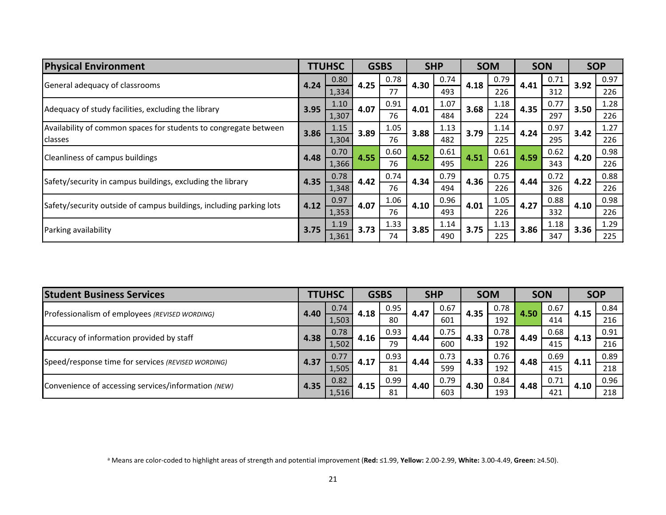| <b>Physical Environment</b>                                         |                                                | <b>TTUHSC</b> |      | <b>GSBS</b> |      | <b>SHP</b> |      | <b>SOM</b> |      | <b>SON</b> |      | <b>SOP</b> |
|---------------------------------------------------------------------|------------------------------------------------|---------------|------|-------------|------|------------|------|------------|------|------------|------|------------|
|                                                                     | 0.80<br>4.24<br>General adequacy of classrooms |               | 4.25 | 0.78        | 4.30 | 0.74       | 4.18 | 0.79       | 4.41 | 0.71       | 3.92 | 0.97       |
|                                                                     |                                                | 1,334         |      | 77          |      | 493        |      | 226        |      | 312        |      | 226        |
| Adequacy of study facilities, excluding the library                 | 3.95                                           | 1.10          | 4.07 | 0.91        | 4.01 | 1.07       | 3.68 | 1.18       | 4.35 | 0.77       | 3.50 | 1.28       |
|                                                                     |                                                | 1,307         |      | 76          |      | 484        |      | 224        |      | 297        |      | 226        |
| Availability of common spaces for students to congregate between    | 3.86                                           | 1.15          | 3.89 | 1.05        | 3.88 | 1.13       | 3.79 | 1.14       | 4.24 | 0.97       | 3.42 | 1.27       |
| classes                                                             |                                                | 1,304         |      | 76          |      | 482        |      | 225        |      | 295        |      | 226        |
| Cleanliness of campus buildings                                     | 4.48                                           | 0.70          | 4.55 | 0.60        | 4.52 | 0.61       | 4.51 | 0.61       | 4.59 | 0.62       | 4.20 | 0.98       |
|                                                                     |                                                | 1,366         |      | 76          |      | 495        |      | 226        |      | 343        |      | 226        |
| Safety/security in campus buildings, excluding the library          | 4.35                                           | 0.78          | 4.42 | 0.74        | 4.34 | 0.79       | 4.36 | 0.75       | 4.44 | 0.72       | 4.22 | 0.88       |
|                                                                     |                                                | 1,348         |      | 76          |      | 494        |      | 226        |      | 326        |      | 226        |
|                                                                     | 4.12                                           | 0.97          | 4.07 | 1.06        | 4.10 | 0.96       | 4.01 | 1.05       | 4.27 | 0.88       | 4.10 | 0.98       |
| Safety/security outside of campus buildings, including parking lots |                                                | 1,353         |      | 76          |      | 493        |      | 226        |      | 332        |      | 226        |
| Parking availability                                                | 3.75                                           | 1.19          | 3.73 | 1.33        | 3.85 | 1.14       | 3.75 | 1.13       | 3.86 | 1.18       | 3.36 | 1.29       |
|                                                                     |                                                | 1,361         |      | 74          |      | 490        |      | 225        |      | 347        |      | 225        |

| <b>Student Business Services</b>                    |      | <b>TTUHSC</b> |      | <b>GSBS</b> |      | <b>SHP</b> |      | <b>SOM</b> |      | <b>SON</b> | <b>SOP</b> |      |
|-----------------------------------------------------|------|---------------|------|-------------|------|------------|------|------------|------|------------|------------|------|
| Professionalism of employees (REVISED WORDING)      | 4.40 | 0.74          |      | 0.95        | 4.47 | 0.67       | 4.35 | 0.78       | 4.50 | 0.67       | 4.15       | 0.84 |
|                                                     |      | 1,503         | 4.18 | 80          |      | 601        |      | 192        |      | 414        |            | 216  |
|                                                     | 4.38 | 0.78          | 4.16 | 0.93        | 4.44 | 0.75       | 4.33 | 0.78       | 4.49 | 0.68       | 4.13       | 0.91 |
| Accuracy of information provided by staff           |      | 1,502         |      | 79          |      | 600        |      | 192        |      | 415        |            | 216  |
| Speed/response time for services (REVISED WORDING)  | 4.37 | 0.77          | 4.17 | 0.93        | 4.44 | 0.73       | 4.33 | 0.76       | 4.48 | 0.69       | 4.11       | 0.89 |
|                                                     |      | 1,505         |      | 81          |      | 599        |      | 192        |      | 415        |            | 218  |
| Convenience of accessing services/information (NEW) |      | 0.82          | 4.15 | 0.99        | 4.40 | 0.79       | 4.30 | 0.84       | 4.48 | 0.71       | 4.10       | 0.96 |
|                                                     | 4.35 | 1,516         |      | 81          |      | 603        |      | 193        |      | 421        |            | 218  |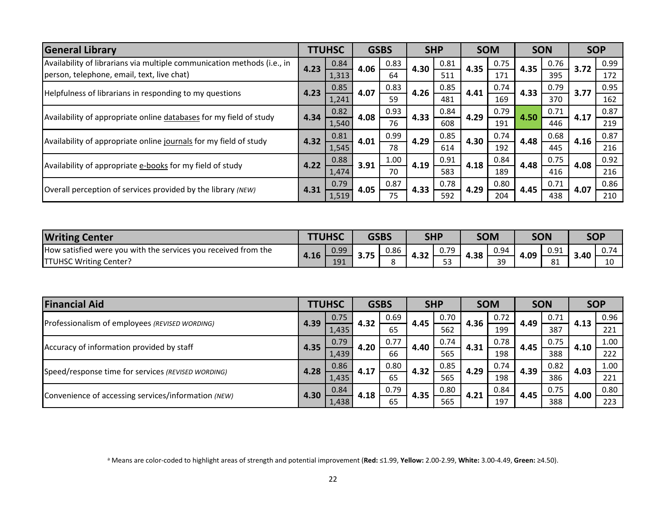| <b>General Library</b>                                                  |      | <b>TTUHSC</b> |      | <b>GSBS</b> |      | <b>SHP</b> |      | <b>SOM</b> |      | <b>SON</b> |      | <b>SOP</b> |
|-------------------------------------------------------------------------|------|---------------|------|-------------|------|------------|------|------------|------|------------|------|------------|
| Availability of librarians via multiple communication methods (i.e., in | 4.23 | 0.84          | 4.06 | 0.83        | 4.30 | 0.81       | 4.35 | 0.75       | 4.35 | 0.76       | 3.72 | 0.99       |
| person, telephone, email, text, live chat)                              |      | 1,313         |      | 64          |      | 511        |      | 171        |      | 395        |      | 172        |
| Helpfulness of librarians in responding to my questions                 | 4.23 | 0.85          | 4.07 | 0.83        | 4.26 | 0.85       | 4.41 | 0.74       | 4.33 | 0.79       | 3.77 | 0.95       |
|                                                                         |      | 1,241         |      | 59          |      | 481        |      | 169        |      | 370        |      | 162        |
| Availability of appropriate online databases for my field of study      | 4.34 | 0.82          | 4.08 | 0.93        | 4.33 | 0.84       | 4.29 | 0.79       | 4.50 | 0.71       | 4.17 | 0.87       |
|                                                                         |      | 1,540         |      | 76          |      | 608        |      | 191        |      | 446        |      | 219        |
| Availability of appropriate online journals for my field of study       | 4.32 | 0.81          | 4.01 | 0.99        | 4.29 | 0.85       | 4.30 | 0.74       | 4.48 | 0.68       | 4.16 | 0.87       |
|                                                                         |      | 1,545         |      | 78          |      | 614        |      | 192        |      | 445        |      | 216        |
| Availability of appropriate e-books for my field of study               | 4.22 | 0.88          | 3.91 | 1.00        | 4.19 | 0.91       | 4.18 | 0.84       | 4.48 | 0.75       | 4.08 | 0.92       |
|                                                                         |      | 1,474         |      | 70          |      | 583        |      | 189        |      | 416        |      | 216        |
| Overall perception of services provided by the library (NEW)            | 4.31 | 0.79          | 4.05 | 0.87        | 4.33 | 0.78       | 4.29 | 0.80       | 4.45 | 0.71       | 4.07 | 0.86       |
|                                                                         |      | 1,519         | 75   |             |      | 592        |      | 204        |      | 438        |      | 210        |

| <b>Writing Center</b>                                          | <b>TTUHSC</b> |      | <b>GSBS</b> |      | <b>SHP</b> |            | <b>SOM</b> |           | <b>SON</b> |                     | <b>SOP</b> |                                 |
|----------------------------------------------------------------|---------------|------|-------------|------|------------|------------|------------|-----------|------------|---------------------|------------|---------------------------------|
| How satisfied were you with the services you received from the | 4.16          | 0.99 | $-7F$       | 0.86 | ີ          | 0.79       | 4.38       | 0.94      | 4.09       | 0.91                | 3.40       | $\cap$ $\neg$<br>$0.1^{\omega}$ |
| <b>TTUHSC Writing Center?</b>                                  |               | 191  | J./J        | ິດ   | 4.JZ       | r o<br>ر ر |            | 30<br>ر ر |            | O <sub>1</sub><br>ᅆ |            | 10                              |

| <b>Financial Aid</b>                                |      | <b>TTUHSC</b> |      | <b>GSBS</b> |      | <b>SHP</b> |      |      |      | <b>SOM</b> |      | <b>SON</b> | <b>SOP</b> |     |
|-----------------------------------------------------|------|---------------|------|-------------|------|------------|------|------|------|------------|------|------------|------------|-----|
| Professionalism of employees (REVISED WORDING)      | 4.39 | 0.75          | 4.32 | 0.69        | 4.45 | 0.70       | 4.36 | 0.72 | 4.49 | 0.71       | 4.13 | 0.96       |            |     |
|                                                     |      | 1,435         |      | 65          |      | 562        |      | 199  |      | 387        |      | 221        |            |     |
| Accuracy of information provided by staff           | 4.35 | 0.79          | 4.20 | 0.77        | 4.40 | 0.74       | 4.31 | 0.78 | 4.45 | 0.75       | 4.10 | 1.00       |            |     |
|                                                     |      | 1,439         |      | 66          |      | 565        |      | 198  |      | 388        |      | 222        |            |     |
| Speed/response time for services (REVISED WORDING)  | 4.28 | 0.86          | 4.17 | 0.80        | 4.32 | 0.85       | 4.29 | 0.74 | 4.39 | 0.82       | 4.03 | 1.00       |            |     |
|                                                     |      | 1,435         |      | 65          |      | 565        |      | 198  |      | 386        |      | 221        |            |     |
| Convenience of accessing services/information (NEW) |      | 0.84          |      | 0.79        | 4.35 | 0.80       | 4.21 | 0.84 | 4.45 | 0.75       | 4.00 | 0.80       |            |     |
|                                                     | 4.30 | 1,438         | 4.18 | 65          |      |            |      | 565  |      | 197        |      | 388        |            | 223 |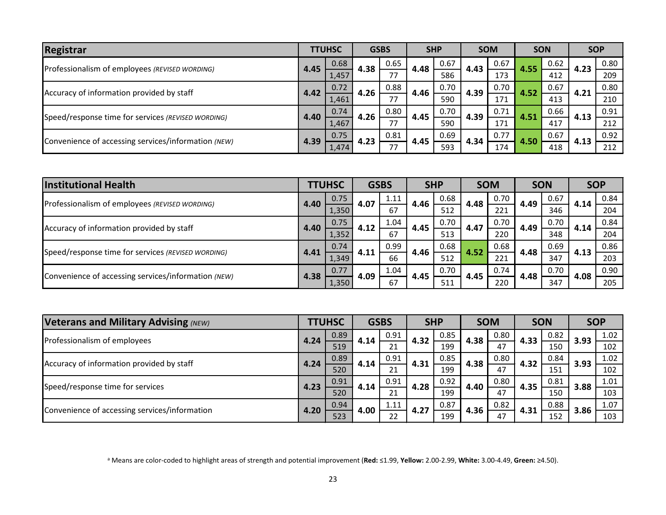| Registrar                                           |      | <b>TTUHSC</b> |      | <b>GSBS</b> |      | <b>SHP</b> |      | <b>SOM</b> |      | <b>SON</b> |      | <b>SOP</b> |
|-----------------------------------------------------|------|---------------|------|-------------|------|------------|------|------------|------|------------|------|------------|
| Professionalism of employees (REVISED WORDING)      | 4.45 | 0.68          | 4.38 | 0.65        | 4.48 | 0.67       | 4.43 | 0.67       | 4.55 | 0.62       | 4.23 | 0.80       |
|                                                     |      | 1,457         |      | 77          |      | 586        |      | 173        |      | 412        |      | 209        |
| Accuracy of information provided by staff           | 4.42 | 0.72          | 4.26 | 0.88        | 4.46 | 0.70       | 4.39 | 0.70       | 4.52 | 0.67       | 4.21 | 0.80       |
|                                                     |      | 1,461         |      | 77          |      | 590        |      | 171        |      | 413        |      | 210        |
| Speed/response time for services (REVISED WORDING)  | 4.40 | 0.74          | 4.26 | 0.80        | 4.45 | 0.70       | 4.39 | 0.71       | 4.51 | 0.66       | 4.13 | 0.91       |
|                                                     |      | 1,467         |      | 77          |      | 590        |      | 171        |      | 417        |      | 212        |
|                                                     | 4.39 | 0.75          | 4.23 | 0.81        | 4.45 | 0.69       | 4.34 | 0.77       |      | 0.67       |      | 0.92       |
| Convenience of accessing services/information (NEW) |      | 1,474         |      | 77          |      | 593        |      | 174        | 4.50 | 418        | 4.13 | 212        |

| <b>Institutional Health</b>                         |      | <b>TTUHSC</b> |      | <b>GSBS</b> |      | <b>SHP</b> |      | <b>SOM</b> |      | <b>SON</b> |      | <b>SOP</b> |
|-----------------------------------------------------|------|---------------|------|-------------|------|------------|------|------------|------|------------|------|------------|
| Professionalism of employees (REVISED WORDING)      | 4.40 | 0.75          | 4.07 | 1.11        | 4.46 | 0.68       | 4.48 | 0.70       | 4.49 | 0.67       | 4.14 | 0.84       |
|                                                     |      | 1,350         |      | 67          |      | 512        |      | 221        |      | 346        |      | 204        |
|                                                     | 4.40 | 0.75          | 4.12 | 1.04        | 4.45 | 0.70       | 4.47 | 0.70       | 4.49 | 0.70       | 4.14 | 0.84       |
| Accuracy of information provided by staff           |      | 1,352         |      | 67          |      | 513        |      | 220        |      | 348        |      | 204        |
| Speed/response time for services (REVISED WORDING)  |      | 0.74          | 4.11 | 0.99        | 4.46 | 0.68       | 4.52 | 0.68       | 4.48 | 0.69       | 4.13 | 0.86       |
|                                                     | 4.41 | 1,349         |      | 66          |      | 512        |      | 221        |      | 347        |      | 203        |
| Convenience of accessing services/information (NEW) | 4.38 | 0.77          | 4.09 | 1.04        | 4.45 | 0.70       | 4.45 | 0.74       | 4.48 | 0.70       | 4.08 | 0.90       |
|                                                     |      | 1,350         |      | 67          |      | 511        |      | 220        |      | 347        |      | 205        |

| <b>Veterans and Military Advising (NEW)</b>   |      | <b>TTUHSC</b> |      | <b>GSBS</b> |      | <b>SHP</b> |      | <b>SOM</b> |      | <b>SON</b> |      | <b>SOP</b> |
|-----------------------------------------------|------|---------------|------|-------------|------|------------|------|------------|------|------------|------|------------|
| Professionalism of employees                  | 4.24 | 0.89          | 4.14 | 0.91        | 4.32 | 0.85       | 4.38 | 0.80       | 4.33 | 0.82       | 3.93 | 1.02       |
|                                               |      | 519           |      | 21          |      | 199        |      | 47         |      | 150        |      | 102        |
| Accuracy of information provided by staff     | 4.24 | 0.89          | 4.14 | 0.91        | 4.31 | 0.85       | 4.38 | 0.80       | 4.32 | 0.84       | 3.93 | 1.02       |
|                                               |      | 520           |      | 21          |      | 199        |      | 47         |      | 151        |      | 102        |
| Speed/response time for services              |      | 0.91          | 4.14 | 0.91        | 4.28 | 0.92       | 4.40 | 0.80       | 4.35 | 0.81       | 3.88 | 1.01       |
|                                               | 4.23 | 520           |      | 21          |      | 199        |      | 47         |      | 150        |      | 103        |
| Convenience of accessing services/information |      | 0.94          | 4.00 | 1.11        | 4.27 | 0.87       | 4.36 | 0.82       | 4.31 | 0.88       | 3.86 | 1.07       |
|                                               | 4.20 | 523           |      | 22          |      | 199        |      | 47         |      | 152        |      | 103        |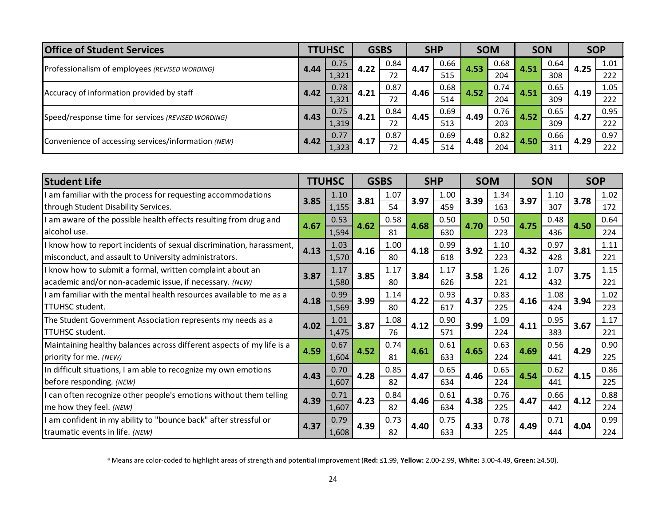| <b>Office of Student Services</b>                   |      | <b>TTUHSC</b> |      | <b>GSBS</b> | <b>SHP</b> |      |      | <b>SOM</b> | <b>SON</b> |      | <b>SOP</b> |      |
|-----------------------------------------------------|------|---------------|------|-------------|------------|------|------|------------|------------|------|------------|------|
| Professionalism of employees (REVISED WORDING)      | 4.44 | 0.75          | 4.22 | 0.84        | 4.47       | 0.66 | 4.53 | 0.68       | 4.51       | 0.64 | 4.25       | 1.01 |
|                                                     |      | 1,321         |      | 72          |            | 515  |      | 204        |            | 308  |            | 222  |
| Accuracy of information provided by staff           |      | 0.78          | 4.21 | 0.87        | 4.46       | 0.68 | 4.52 | 0.74       | 4.51       | 0.65 | 4.19       | 1.05 |
|                                                     | 4.42 | 1,321         |      | 72          |            | 514  |      | 204        |            | 309  |            | 222  |
|                                                     | 4.43 | 0.75          | 4.21 | 0.84        | 4.45       | 0.69 | 4.49 | 0.76       | 4.52       | 0.65 | 4.27       | 0.95 |
| Speed/response time for services (REVISED WORDING)  |      | 1,319         |      | 72          |            | 513  |      | 203        |            | 309  |            | 222  |
| Convenience of accessing services/information (NEW) | 4.42 | 0.77          | 4.17 | 0.87        | 4.45       | 0.69 | 4.48 | 0.82       |            | 0.66 | 4.29       | 0.97 |
|                                                     |      | 1,323         |      | 72          |            | 514  |      | 204        | 4.50       | 311  |            | 222  |

| <b>Student Life</b>                                                   |      | <b>TTUHSC</b> |      | <b>GSBS</b> |      | <b>SHP</b> |      | <b>SOM</b> |      | <b>SON</b> |      | <b>SOP</b> |
|-----------------------------------------------------------------------|------|---------------|------|-------------|------|------------|------|------------|------|------------|------|------------|
| am familiar with the process for requesting accommodations            | 3.85 | 1.10          | 3.81 | 1.07        | 3.97 | 1.00       | 3.39 | 1.34       | 3.97 | 1.10       | 3.78 | 1.02       |
| through Student Disability Services.                                  |      | 1,155         |      | 54          |      | 459        |      | 163        |      | 307        |      | 172        |
| am aware of the possible health effects resulting from drug and       | 4.67 | 0.53          | 4.62 | 0.58        | 4.68 | 0.50       | 4.70 | 0.50       | 4.75 | 0.48       | 4.50 | 0.64       |
| alcohol use.                                                          |      | 1,594         |      | 81          |      | 630        |      | 223        |      | 436        |      | 224        |
| I know how to report incidents of sexual discrimination, harassment,  |      | 1.03          | 4.16 | 1.00        | 4.18 | 0.99       | 3.92 | 1.10       | 4.32 | 0.97       | 3.81 | 1.11       |
| misconduct, and assault to University administrators.                 | 4.13 | 1,570         |      | 80          |      | 618        |      | 223        |      | 428        |      | 221        |
| I know how to submit a formal, written complaint about an             | 3.87 | 1.17          | 3.85 | 1.17        | 3.84 | 1.17       | 3.58 | 1.26       | 4.12 | 1.07       | 3.75 | 1.15       |
| academic and/or non-academic issue, if necessary. (NEW)               |      | 1,580         |      | 80          |      | 626        |      | 221        |      | 432        |      | 221        |
| I am familiar with the mental health resources available to me as a   | 4.18 | 0.99          | 3.99 | 1.14        | 4.22 | 0.93       | 4.37 | 0.83       | 4.16 | 1.08       | 3.94 | 1.02       |
| TTUHSC student.                                                       |      | 1,569         |      | 80          |      | 617        |      | 225        |      | 424        |      | 223        |
| The Student Government Association represents my needs as a           | 4.02 | 1.01          | 3.87 | 1.08        | 4.12 | 0.90       | 3.99 | 1.09       | 4.11 | 0.95       | 3.67 | 1.17       |
| TTUHSC student.                                                       |      | 1,475         |      | 76          |      | 571        |      | 224        |      | 383        |      | 221        |
| Maintaining healthy balances across different aspects of my life is a | 4.59 | 0.67          | 4.52 | 0.74        | 4.61 | 0.61       | 4.65 | 0.63       | 4.69 | 0.56       | 4.29 | 0.90       |
| priority for me. (NEW)                                                |      | 1,604         |      | 81          |      | 633        |      | 224        |      | 441        |      | 225        |
| In difficult situations, I am able to recognize my own emotions       | 4.43 | 0.70          | 4.28 | 0.85        | 4.47 | 0.65       | 4.46 | 0.65       | 4.54 | 0.62       | 4.15 | 0.86       |
| before responding. (NEW)                                              |      | 1,607         |      | 82          |      | 634        |      | 224        |      | 441        |      | 225        |
| I can often recognize other people's emotions without them telling    | 4.39 | 0.71          | 4.23 | 0.84        | 4.46 | 0.61       | 4.38 | 0.76       | 4.47 | 0.66       | 4.12 | 0.88       |
| me how they feel. (NEW)                                               |      | 1,607         |      | 82          |      | 634        |      | 225        |      | 442        |      | 224        |
| am confident in my ability to "bounce back" after stressful or        | 4.37 | 0.79          |      | 0.73        |      | 0.75       |      | 0.78       |      | 0.71       |      | 0.99       |
| traumatic events in life. (NEW)                                       |      | 1,608         | 4.39 | 82          | 4.40 | 633        | 4.33 | 225        | 4.49 | 444        | 4.04 | 224        |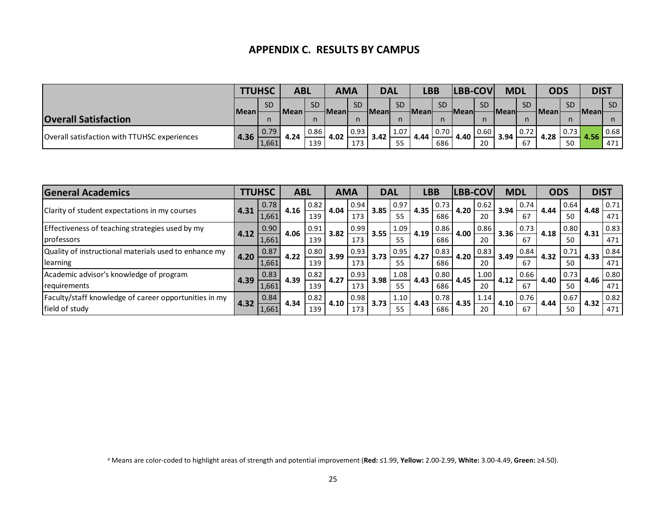#### **APPENDIX C. RESULTS BY CAMPUS**

|                                              | <b>TTUHSC</b> |           | ABL  |           | <b>AMA</b> |             | <b>DAL</b> |           | LBB          |           | <b>LBB-COV</b> |           | <b>MDL</b>  |           | <b>ODS</b> |           | <b>DIST</b> |           |
|----------------------------------------------|---------------|-----------|------|-----------|------------|-------------|------------|-----------|--------------|-----------|----------------|-----------|-------------|-----------|------------|-----------|-------------|-----------|
|                                              |               | <b>SD</b> | Mean | <b>SD</b> |            | <b>SD</b>   |            | <b>SD</b> |              | <b>SD</b> |                | <b>SD</b> |             | <b>SD</b> |            | <b>SD</b> |             | <b>SD</b> |
| <b>Overall Satisfaction</b>                  | Mean          |           |      |           | HMeanl     | n           | ⊣Meanŀ     |           | <b>Meanl</b> |           | <b>HMean</b>   |           | <b>Mean</b> |           | l Mean     |           | HMeanl      | n.        |
| Overall satisfaction with TTUHSC experiences | 4.36          | 0.79      | 4.24 | 0.86      | 4.02       | $\mid$ 0.93 | 3.42       | 1.07      | 4.44         | 0.70      | 4.40           | 0.60      | 3.94        | 0.72      | 4.28       | 0.73      | 4.56        | 0.68      |
|                                              |               | 1,661     |      | 139       |            | 173         |            | 55        |              | 686       |                | 20        |             | 67        |            | 50        |             | 471       |

| <b>General Academics</b>                              |      | <b>LTUHSC</b> | <b>ABL</b> |      | <b>AMA</b> |      | <b>DAL</b> |      | <b>LBB</b> |      | LBB-COV |      | <b>MDL</b> |      | <b>ODS</b> |      | <b>DIST</b> |      |
|-------------------------------------------------------|------|---------------|------------|------|------------|------|------------|------|------------|------|---------|------|------------|------|------------|------|-------------|------|
| Clarity of student expectations in my courses         | 4.31 | 0.78          | 4.16       | 0.82 | 4.04       | 0.94 | 3.85       | 0.97 | 4.35       | 0.73 | 4.20    | 0.62 | 3.94       | 0.74 | 4.44       | 0.64 | 4.48        | 0.71 |
|                                                       |      | 1,661         |            | 139  |            | 173  |            | 55   |            | 686  |         | 20   |            | 67   |            | 50   |             | 471  |
| Effectiveness of teaching strategies used by my       | 4.12 | 0.90          | 4.06       | 0.91 | 3.82       | 0.99 | 3.55       | 1.09 | 4.19       | 0.86 | 4.00    | 0.86 | 3.36       | 0.73 | 4.18       | 0.80 | 4.31        | 0.83 |
| professors                                            |      | 1,661         |            | 139  |            | 173  |            | 55   |            | 686  |         | 20   |            | 67   |            | 50   |             | 471  |
| Quality of instructional materials used to enhance my | 4.20 | 0.87          | 4.22       | 0.80 | 3.99       | 0.93 | 3.73       | 0.95 | 4.27       | 0.83 | 4.20    | 0.83 | 3.49       | 0.84 | 4.32       | 0.71 | 4.33        | 0.84 |
| learning                                              |      | 1,661         |            | 139  |            | 173  |            | 55   |            | 686  |         | 20   |            | 67   |            | 50   |             | 471  |
| Academic advisor's knowledge of program               |      | 0.83          | 4.39       | 0.82 | 4.27       | 0.93 | 3.98       | 1.08 | 4.43       | 0.80 | 4.45    | 1.00 | 4.12       | 0.66 | 4.40       | 0.73 | 4.46        | 0.80 |
| requirements                                          | 4.39 | 1,661         |            | 139  |            | 173  |            | 55   |            | 686  |         | 20   |            | 67   |            | 50   |             | 471  |
| Faculty/staff knowledge of career opportunities in my | 4.32 | 0.84          | 4.34       | 0.82 | 4.10       | 0.98 | 3.73       | 1.10 | 4.43       | 0.78 | 4.35    | 1.14 | 4.10       | 0.76 | 4.44       | 0.67 | 4.32        | 0.82 |
| field of study                                        |      | 1,661         |            | 139  |            | 173  |            | 55   |            | 686  |         | 20   |            | 67   |            | 50   |             | 471  |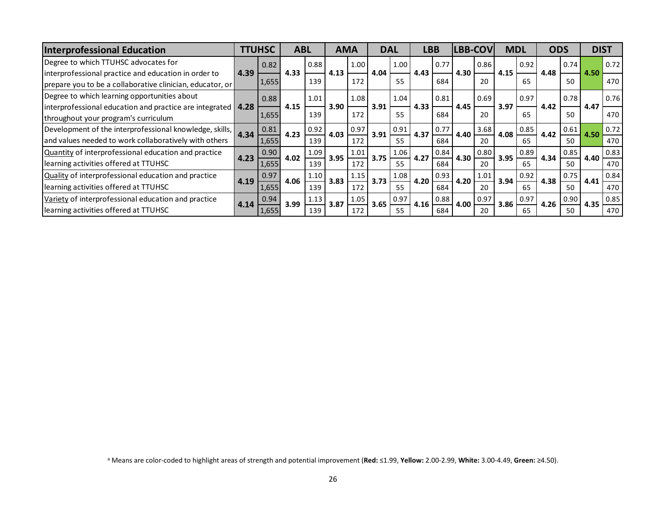| <b>Interprofessional Education</b>                             | <b>TTUHSC</b> |       | <b>ABL</b> |      | <b>AMA</b> |      | <b>DAL</b> |      | <b>LBB</b> |      | <b>LBB-COV</b> |      | <b>MDL</b> |      | <b>ODS</b> |      | <b>DIST</b> |      |
|----------------------------------------------------------------|---------------|-------|------------|------|------------|------|------------|------|------------|------|----------------|------|------------|------|------------|------|-------------|------|
| Degree to which TTUHSC advocates for                           |               | 0.82  |            | 0.88 |            | 1.00 |            | 1.00 |            | 0.77 |                | 0.86 |            | 0.92 |            | 0.74 |             | 0.72 |
| interprofessional practice and education in order to           | 4.39          |       | 4.33       |      | 4.13       |      | 4.04       |      | 4.43       |      | 4.30           |      | 4.15       |      | 4.48       |      | 4.50        |      |
| prepare you to be a collaborative clinician, educator, or      |               | 1,655 |            | 139  |            | 172  |            | 55   |            | 684  |                | 20   |            | 65   |            | 50   |             | 470  |
| Degree to which learning opportunities about                   |               | 0.88  |            | 1.01 |            | 1.08 |            | 1.04 |            | 0.81 |                | 0.69 |            | 0.97 |            | 0.78 |             | 0.76 |
| interprofessional education and practice are integrated   4.28 |               |       | 4.15       |      | 3.90       |      | 3.91       |      | 4.33       |      | 4.45           |      | 3.97       |      | 4.42       |      | 4.47        |      |
| throughout your program's curriculum                           |               | 1,655 |            | 139  |            | 172  |            | 55   |            | 684  |                | 20   |            | 65   |            | 50   |             | 470  |
| Development of the interprofessional knowledge, skills,        | 4.34          | 0.81  | 4.23       | 0.92 | 4.03       | 0.97 | 3.91       | 0.91 | 4.37       | 0.77 | 4.40           | 3.68 | 4.08       | 0.85 | 4.42       | 0.61 | 4.50        | 0.72 |
| and values needed to work collaboratively with others          |               | 1,655 |            | 139  |            | 172  |            | 55   |            | 684  |                | 20   |            | 65   |            | 50   |             | 470  |
| Quantity of interprofessional education and practice           | 4.23          | 0.90  | 4.02       | 1.09 | 3.95       | 1.01 | 3.75       | 1.06 | 4.27       | 0.84 | 4.30           | 0.80 | 3.95       | 0.89 | 4.34       | 0.85 | 4.40        | 0.83 |
| learning activities offered at TTUHSC                          |               | 1,655 |            | 139  |            | 172  |            | 55   |            | 684  |                | 20   |            | 65   |            | 50   |             | 470  |
| Quality of interprofessional education and practice            | 4.19          | 0.97  | 4.06       | 1.10 | 3.83       | 1.15 | 3.73       | 1.08 | 4.20       | 0.93 | 4.20           | 1.01 | 3.94       | 0.92 | 4.38       | 0.75 | 4.41        | 0.84 |
| learning activities offered at TTUHSC                          |               | 1,655 |            | 139  |            | 172  |            | 55   |            | 684  |                | 20   |            | 65   |            | 50   |             | 470  |
| Variety of interprofessional education and practice            | 4.14          | 0.94  | 3.99       | 1.13 | 3.87       | 1.05 | 3.65       | 0.97 | 4.16       | 0.88 | 4.00           | 0.97 | 3.86       | 0.97 | 4.26       | 0.90 | 4.35        | 0.85 |
| learning activities offered at TTUHSC                          |               | 1,655 |            | 139  |            | 172  |            | 55   |            | 684  |                | 20   |            | 65   |            | 50   |             | 470  |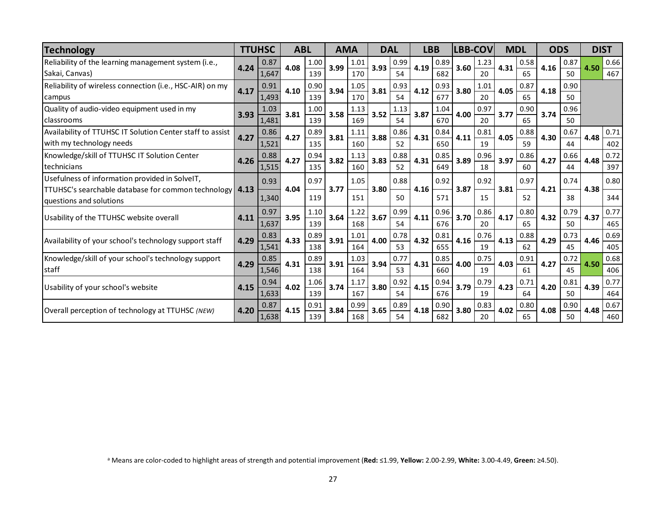| <b>Technology</b>                                                                                                                      |      | <b>TTUHSC</b> | <b>ABL</b> |             | <b>AMA</b> |             | <b>DAL</b> |            | <b>LBB</b> |             | LBB-COV |            | <b>MDL</b> |            | <b>ODS</b> |            | <b>DIST</b> |             |
|----------------------------------------------------------------------------------------------------------------------------------------|------|---------------|------------|-------------|------------|-------------|------------|------------|------------|-------------|---------|------------|------------|------------|------------|------------|-------------|-------------|
| Reliability of the learning management system (i.e.,<br>Sakai, Canvas)                                                                 | 4.24 | 0.87<br>1,647 | 4.08       | 1.00<br>139 | 3.99       | 1.01<br>170 | 3.93       | 0.99<br>54 | 4.19       | 0.89<br>682 | 3.60    | 1.23<br>20 | 4.31       | 0.58<br>65 | 4.16       | 0.87<br>50 | 4.50        | 0.66<br>467 |
| Reliability of wireless connection (i.e., HSC-AIR) on my<br>campus                                                                     | 4.17 | 0.91<br>1,493 | 4.10       | 0.90<br>139 | 3.94       | 1.05<br>170 | 3.81       | 0.93<br>54 | 4.12       | 0.93<br>677 | 3.80    | 1.01<br>20 | 4.05       | 0.87<br>65 | 4.18       | 0.90<br>50 |             |             |
| Quality of audio-video equipment used in my<br>classrooms                                                                              | 3.93 | 1.03<br>1,481 | 3.81       | 1.00<br>139 | 3.58       | 1.13<br>169 | 3.52       | 1.13<br>54 | 3.87       | 1.04<br>670 | 4.00    | 0.97<br>20 | 3.77       | 0.90<br>65 | 3.74       | 0.96<br>50 |             |             |
| Availability of TTUHSC IT Solution Center staff to assist<br>with my technology needs                                                  | 4.27 | 0.86<br>1,521 | 4.27       | 0.89<br>135 | 3.81       | 1.11<br>160 | 3.88       | 0.86<br>52 | 4.31       | 0.84<br>650 | 4.11    | 0.81<br>19 | 4.05       | 0.88<br>59 | 4.30       | 0.67<br>44 | 4.48        | 0.71<br>402 |
| Knowledge/skill of TTUHSC IT Solution Center<br>technicians                                                                            | 4.26 | 0.88<br>1,515 | 4.27       | 0.94<br>135 | 3.82       | 1.13<br>160 | 3.83       | 0.88<br>52 | 4.31       | 0.85<br>649 | 3.89    | 0.96<br>18 | 3.97       | 0.86<br>60 | 4.27       | 0.66<br>44 | 4.48        | 0.72<br>397 |
| Usefulness of information provided in SolveIT,<br>TTUHSC's searchable database for common technology   4.13<br>questions and solutions |      | 0.93<br>1,340 | 4.04       | 0.97<br>119 | 3.77       | 1.05<br>151 | 3.80       | 0.88<br>50 | 4.16       | 0.92<br>571 | 3.87    | 0.92<br>15 | 3.81       | 0.97<br>52 | 4.21       | 0.74<br>38 | 4.38        | 0.80<br>344 |
| Usability of the TTUHSC website overall                                                                                                | 4.11 | 0.97<br>1,637 | 3.95       | 1.10<br>139 | 3.64       | 1.22<br>168 | 3.67       | 0.99<br>54 | 4.11       | 0.96<br>676 | 3.70    | 0.86<br>20 | 4.17       | 0.80<br>65 | 4.32       | 0.79<br>50 | 4.37        | 0.77<br>465 |
| Availability of your school's technology support staff                                                                                 | 4.29 | 0.83<br>1,541 | 4.33       | 0.89<br>138 | 3.91       | 1.01<br>164 | 4.00       | 0.78<br>53 | 4.32       | 0.81<br>655 | 4.16    | 0.76<br>19 | 4.13       | 0.88<br>62 | 4.29       | 0.73<br>45 | 4.46        | 0.69<br>405 |
| Knowledge/skill of your school's technology support<br>staff                                                                           | 4.29 | 0.85<br>1,546 | 4.31       | 0.89<br>138 | 3.91       | 1.03<br>164 | 3.94       | 0.77<br>53 | 4.31       | 0.85<br>660 | 4.00    | 0.75<br>19 | 4.03       | 0.91<br>61 | 4.27       | 0.72<br>45 | 4.50        | 0.68<br>406 |
| Usability of your school's website                                                                                                     | 4.15 | 0.94<br>1,633 | 4.02       | 1.06<br>139 | 3.74       | 1.17<br>167 | 3.80       | 0.92<br>54 | 4.15       | 0.94<br>676 | 3.79    | 0.79<br>19 | 4.23       | 0.71<br>64 | 4.20       | 0.81<br>50 | 4.39        | 0.77<br>464 |
| Overall perception of technology at TTUHSC (NEW)                                                                                       | 4.20 | 0.87<br>1,638 | 4.15       | 0.91<br>139 | 3.84       | 0.99<br>168 | 3.65       | 0.89<br>54 | 4.18       | 0.90<br>682 | 3.80    | 0.83<br>20 | 4.02       | 0.80<br>65 | 4.08       | 0.90<br>50 | 4.48        | 0.67<br>460 |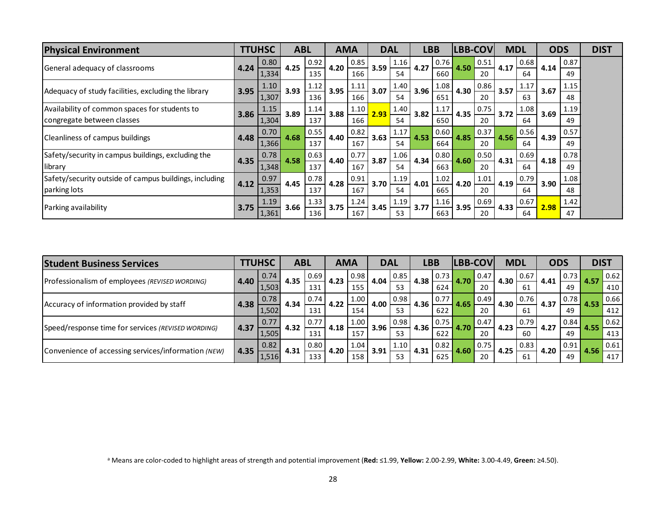| <b>Physical Environment</b>                            |      | <b>TTUHSC</b> | <b>ABL</b> |      | <b>AMA</b> |      | <b>DAL</b> |      |      | <b>LBB</b> | <b>LBB-COV</b> |      | <b>MDL</b> |      | <b>ODS</b> |      | <b>DIST</b> |
|--------------------------------------------------------|------|---------------|------------|------|------------|------|------------|------|------|------------|----------------|------|------------|------|------------|------|-------------|
| General adequacy of classrooms                         | 4.24 | 0.80          | 4.25       | 0.92 | 4.20       | 0.85 | 3.59       | 1.16 | 4.27 | 0.76       | 4.50           | 0.51 | 4.17       | 0.68 | 4.14       | 0.87 |             |
|                                                        |      | 1,334         |            | 135  |            | 166  |            | 54   |      | 660        |                | 20   |            | 64   |            | 49   |             |
| Adequacy of study facilities, excluding the library    | 3.95 | 1.10          | 3.93       | 1.12 | 3.95       | 1.11 | 3.07       | 1.40 | 3.96 | 1.08       | 4.30           | 0.86 | 3.57       | 1.17 | 3.67       | 1.15 |             |
|                                                        |      | 1,307         |            | 136  |            | 166  |            | 54   |      | 651        |                | 20   |            | 63   |            | 48   |             |
| Availability of common spaces for students to          | 3.86 | 1.15          | 3.89       | 1.14 | 3.88       | 1.10 | 2.93       | 1.40 | 3.82 | 1.17       | 4.35           | 0.75 | 3.72       | 1.08 | 3.69       | 1.19 |             |
| congregate between classes                             |      | 1,304         |            | 137  |            | 166  |            | 54   |      | 650        |                | 20   |            | 64   |            | 49   |             |
| Cleanliness of campus buildings                        | 4.48 | 0.70          | 4.68       | 0.55 | 4.40       | 0.82 | 3.63       | 1.17 | 4.53 | 0.60       | 4.85           | 0.37 | 4.56       | 0.56 | 4.39       | 0.57 |             |
|                                                        |      | 1,366         |            | 137  |            | 167  |            | 54   |      | 664        |                | 20   |            | 64   |            | 49   |             |
| Safety/security in campus buildings, excluding the     | 4.35 | 0.78          | 4.58       | 0.63 | 4.40       | 0.77 | 3.87       | 1.06 | 4.34 | 0.80       | 4.60           | 0.50 | 4.31       | 0.69 | 4.18       | 0.78 |             |
| library                                                |      | 1,348         |            | 137  |            | 167  |            | 54   |      | 663        |                | 20   |            | 64   |            | 49   |             |
| Safety/security outside of campus buildings, including | 4.12 | 0.97          | 4.45       | 0.78 | 4.28       | 0.91 | 3.70       | 1.19 | 4.01 | 1.02       | 4.20           | 1.01 | 4.19       | 0.79 | 3.90       | 1.08 |             |
| parking lots                                           |      | 1,353         |            | 137  |            | 167  |            | 54   |      | 665        |                | 20   |            | 64   |            | 48   |             |
| Parking availability                                   | 3.75 | 1.19          | 3.66       | 1.33 | 3.75       | 1.24 | 3.45       | 1.19 | 3.77 | 1.16       | 3.95           | 0.69 | 4.33       | 0.67 | 2.98       | 1.42 |             |
|                                                        |      | 1,361         |            | 136  |            | 167  |            | 53   |      | 663        |                | 20   |            | 64   |            | 47   |             |

| <b>Student Business Services</b>                    |      | <b>TTUHSC</b> | <b>ABL</b> |      | <b>AMA</b> |      | <b>DAL</b> |      | <b>LBB</b> |      | <b>LBB-COV</b> |                    | <b>MDL</b> |      | <b>ODS</b> |      | <b>DIST</b> |      |
|-----------------------------------------------------|------|---------------|------------|------|------------|------|------------|------|------------|------|----------------|--------------------|------------|------|------------|------|-------------|------|
|                                                     | 4.40 | 0.74          | 4.35       | 0.69 | 4.23       | 0.98 | 4.04       | 0.85 | 4.38       | 0.73 | 4.70           | 0.47               | 4.30       | 0.67 | 4.41       | 0.73 |             | 0.62 |
| Professionalism of employees (REVISED WORDING)      |      | 1,503         |            | 131  |            | 155  |            | 53   |            | 624  |                | 20                 |            | 61   |            | 49   |             | 410  |
| Accuracy of information provided by staff           |      | 0.78          |            | 0.74 | 4.22       | 1.00 | 4.00       | 0.98 | 4.36       | 0.77 | 4.65           | 0.49               | 4.30       | 0.76 | 4.37       | 0.78 | 4.53        | 0.66 |
|                                                     | 4.38 | 1,502         | 4.34       | 131  |            | 154  |            | 53   |            | 622  |                | 20                 |            | 61   |            | 49   |             | 412  |
|                                                     |      | 0.77          |            | 0.77 |            | 1.00 |            | 0.98 |            | 0.75 |                | 0.47               |            | 0.79 | 4.27       | 0.84 |             | 0.62 |
| Speed/response time for services (REVISED WORDING)  | 4.37 | 1,505         | 4.32       | 131  | 4.18       | 157  | 3.96       | 53   | 4.36       | 622  | 4.70           | 20                 | 4.23       | 60   |            | 49   |             | 413  |
|                                                     |      | 0.82          |            | 0.80 |            | 1.04 |            | 1.10 |            | 0.82 | 4.60           | $\vert 0.75 \vert$ | 4.25       | 0.83 |            | 0.91 |             | 0.61 |
| Convenience of accessing services/information (NEW) | 4.35 | 1,516         | 4.31       | 133  | 4.20       | 158  | 3.91       | 53   | 4.31       | 625  |                | 20                 |            | 61   | 4.20       | 49   | 4.56        | 417  |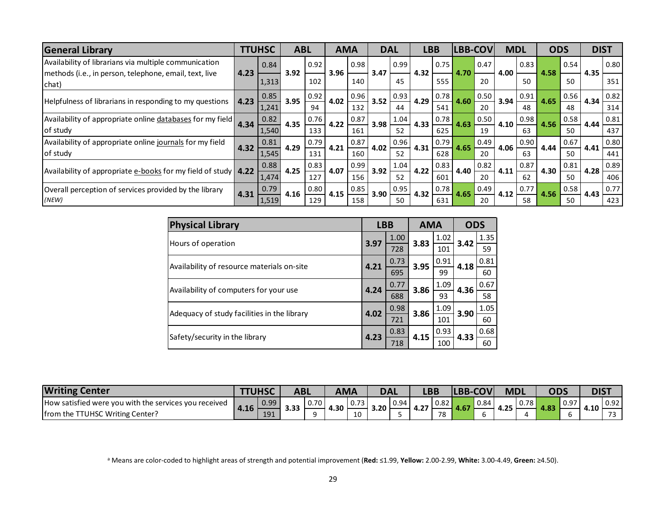| <b>General Library</b>                                              |      | <b>TTUHSC</b> | <b>ABL</b> |      | <b>AMA</b> |      | <b>DAL</b> |      | <b>LBB</b> |      | <b>LBB-COV</b> |      | <b>MDL</b> |      | <b>ODS</b> |      | <b>DIST</b> |      |
|---------------------------------------------------------------------|------|---------------|------------|------|------------|------|------------|------|------------|------|----------------|------|------------|------|------------|------|-------------|------|
| Availability of librarians via multiple communication               |      | 0.84          |            | 0.92 |            | 0.98 |            | 0.99 |            | 0.75 |                | 0.47 |            | 0.83 |            | 0.54 |             | 0.80 |
| methods (i.e., in person, telephone, email, text, live              | 4.23 |               | 3.92       |      | 3.96       |      | 3.47       | 45   | 4.32       |      | 4.70           |      | 4.00       | 50   | 4.58       |      | 4.35        |      |
| chat)                                                               |      | 1,313         |            | 102  |            | 140  |            |      |            | 555  |                | 20   |            |      |            | 50   |             | 351  |
| Helpfulness of librarians in responding to my questions             | 4.23 | 0.85          | 3.95       | 0.92 | 4.02       | 0.96 | 3.52       | 0.93 | 4.29       | 0.78 | 4.60           | 0.50 | 3.94       | 0.91 | 4.65       | 0.56 | 4.34        | 0.82 |
|                                                                     |      | 1,241         |            | 94   |            | 132  |            | 44   |            | 541  |                | 20   |            | 48   |            | 48   |             | 314  |
| Availability of appropriate online databases for my field           | 4.34 | 0.82          | 4.35       | 0.76 | 4.22       | 0.87 | 3.98       | 1.04 | 4.33       | 0.78 | 4.63           | 0.50 | 4.10       | 0.98 | 4.56       | 0.58 | 4.44        | 0.81 |
| of study                                                            |      | 1,540         |            | 133  |            | 161  |            | 52   |            | 625  |                | 19   |            | 63   |            | 50   |             | 437  |
| Availability of appropriate online journals for my field            | 4.32 | 0.81          | 4.29       | 0.79 |            | 0.87 | 4.02       | 0.96 |            | 0.79 | 4.65           | 0.49 | 4.06       | 0.90 | 4.44       | 0.67 |             | 0.80 |
| of study                                                            |      | 1,545         |            | 131  | 4.21       | 160  |            | 52   | 4.31       | 628  |                | 20   |            | 63   |            | 50   | 4.41        | 441  |
|                                                                     |      | 0.88          | 4.25       | 0.83 |            | 0.99 |            | 1.04 |            | 0.83 | 4.40           | 0.82 |            | 0.87 | 4.30       | 0.81 | 4.28        | 0.89 |
| Availability of appropriate $e$ -books for my field of study   4.22 |      | 1,474         |            | 127  | 4.07       | 156  | 3.92       | 52   | 4.22       | 601  |                | 20   | 4.11       | 62   |            | 50   |             | 406  |
| Overall perception of services provided by the library              |      | 0.79          |            | 0.80 |            | 0.85 |            | 0.95 |            | 0.78 |                | 0.49 |            | 0.77 |            | 0.58 |             | 0.77 |
| (NEW)                                                               | 4.31 | 1,519         | 4.16       | 129  | 4.15       | 158  | 3.90       | 50   | 4.32       | 631  | 4.65           | 20   | 4.12       | 58   | 4.56       | 50   | 4.43        | 423  |

| <b>Physical Library</b>                     | <b>LBB</b> |      | <b>AMA</b> |      | <b>ODS</b> |      |
|---------------------------------------------|------------|------|------------|------|------------|------|
| Hours of operation                          | 3.97       | 1.00 |            | 1.02 | 3.42       | 1.35 |
|                                             |            | 728  | 3.83       | 101  |            | 59   |
|                                             | 4.21       | 0.73 | 3.95       | 0.91 | 4.18       | 0.81 |
| Availability of resource materials on-site  |            | 695  |            | 99   |            | 60   |
| Availability of computers for your use      |            | 0.77 |            | 1.09 |            | 0.67 |
|                                             | 4.24       | 688  | 3.86       | 93   | 4.36       | 58   |
| Adequacy of study facilities in the library |            | 0.98 |            | 1.09 |            | 1.05 |
|                                             | 4.02       | 721  | 3.86       | 101  | 3.90       | 60   |
| Safety/security in the library              |            | 0.83 | 4.15       | 0.93 | 4.33       | 0.68 |
|                                             | 4.23       | 718  |            | 100  |            | 60   |

| <b>Writing Center</b>                                 | טחטו |      | ABL  |      | <b>AMA</b> |                     | DAI  |      | LBP  |      | <b>LBB</b><br>cov |      | <b>MDL</b> |      |            |      | <b>DIST</b>          |      |
|-------------------------------------------------------|------|------|------|------|------------|---------------------|------|------|------|------|-------------------|------|------------|------|------------|------|----------------------|------|
| How satisfied were you with the services you received |      | 0.99 | כפיכ | 0.70 | 4.30       | 72<br>$\cdot$ 0.75. | 3.20 | 0.94 | $-$  | 0.82 | $\sim$            | 0.84 | n o m      | 0.78 | <b>103</b> | 0.97 |                      | 0.92 |
| <b>TTUHSC Writing Center?</b><br>I from the 1         | 4.16 | 191  | 3.33 | Ω    |            | $\Delta$<br>τn      |      |      | 4.ZI | 78   | 4.O/              |      | 4.Z5       |      | 4.03       |      | 4.10<br>$\mathbf{H}$ | .    |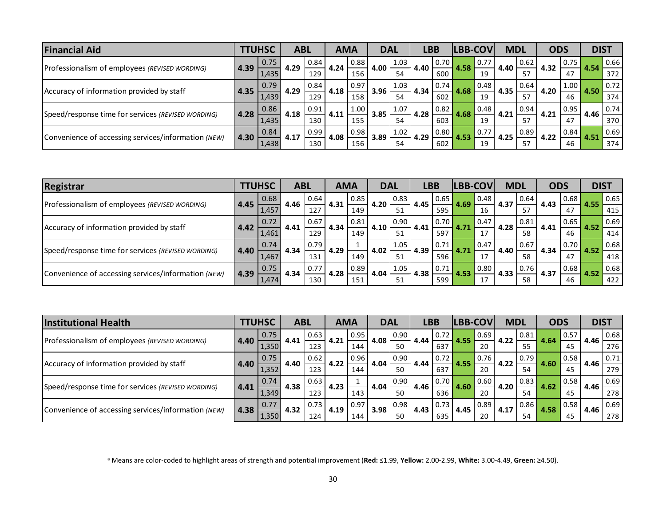| <b>Financial Aid</b>                                | <b>TTUHSC</b> |       | <b>ABL</b> |                  | <b>AMA</b> |                    | <b>DAL</b> |      | <b>LBB</b> |                    | <b>LBB-COV</b> |      | <b>MDL</b> |      | <b>ODS</b> |      | <b>DIST</b> |      |
|-----------------------------------------------------|---------------|-------|------------|------------------|------------|--------------------|------------|------|------------|--------------------|----------------|------|------------|------|------------|------|-------------|------|
| Professionalism of employees (REVISED WORDING)      | 4.39          | 0.75  | 4.29       | 0.84             | 4.24       | 0.88               | 4.00       | 1.03 | 4.40       | $\vert 0.70 \vert$ | 4.58           | 0.77 | 4.40       | 0.62 | 4.32       | 0.75 | 4.54        | 0.66 |
|                                                     |               | 1,435 |            | 129              |            | 156                |            | 54   |            | 600                |                | 19   |            | 57   |            | 47   |             | 372  |
|                                                     |               | 0.79  | 4.29       | 0.84<br>129      | 4.18       | $\vert 0.97 \vert$ | 3.96       | 1.03 | 4.34       | 0.74               | 4.68           | 0.48 | 4.35       | 0.64 | 4.20       | 1.00 | 4.50        | 0.72 |
| Accuracy of information provided by staff           | 4.35          | 1,439 |            |                  |            | 158                |            | 54   |            | 602                |                | 19   |            | 57   |            | 46   |             | 374  |
| Speed/response time for services (REVISED WORDING)  |               | 0.86  | 4.18       | 0.91             | 4.11       | 1.00               | 3.85       | 1.07 | 4.28       | 0.82               | 4.68           | 0.48 | 4.21       | 0.94 | 4.21       | 0.95 | 4.46        | 0.74 |
|                                                     | 4.28          | 1,435 |            | 130              |            | 155                |            | 54   |            | 603                |                | 19   |            | 57   |            | 47   |             | 370  |
| Convenience of accessing services/information (NEW) |               | 0.84  |            | 0.99             |            | $\vert 0.98 \vert$ |            | 1.02 | 4.29       | 0.80               |                | 0.77 | 4.25       | 0.89 | 4.22       | 0.84 |             | 0.69 |
|                                                     | 4.30          | 1,438 | 4.17       | 130 <sub>1</sub> | 4.08       | 156                | 3.89       | 54   |            | 602                |                | 19   |            | 57   |            | 46   |             | 374  |

| Registrar                                           |      | <b>TTUHSC</b> | <b>ABL</b> |             | <b>AMA</b> |      | <b>DAL</b> |      | <b>LBB</b> |               | <b>LBB-COV</b> |      | <b>MDL</b> |      | <b>ODS</b> |      | <b>DIST</b> |          |
|-----------------------------------------------------|------|---------------|------------|-------------|------------|------|------------|------|------------|---------------|----------------|------|------------|------|------------|------|-------------|----------|
| Professionalism of employees (REVISED WORDING)      |      | 0.68          | 4.46       | 0.64        | 4.31       | 0.85 | 4.20       | 0.83 | 4.45       | 0.65          | 4.69           | 0.48 | 4.37       | 0.64 | 4.43       | 0.68 | 4.55        | $0.65\,$ |
|                                                     | 4.45 | 1,457         |            | 127         |            | 149  |            | 51   |            | 595           |                | 16   |            | 57   |            | 47   |             | 415      |
|                                                     | 4.42 | 0.72          | 4.41       | 0.67        | 4.34       | 0.81 | 4.10       | 0.90 | 4.41       | 0.70          | 4.71           | 0.47 | 4.28       | 0.81 | 4.41       | 0.65 | 4.52        | 0.69     |
| Accuracy of information provided by staff           |      | 1,461         |            | 129         |            | 149  |            | 51   |            | 597           |                | 17   |            | 58   |            | 46   |             | 414      |
| Speed/response time for services (REVISED WORDING)  |      | 0.74          |            | 0.79<br>131 | 4.29       |      | 4.02       | 1.05 | 4.39       | 0.71          | 4.71           | 0.47 | 4.40       | 0.67 | 4.34       | 0.70 | 4.52        | $0.68\,$ |
|                                                     | 4.40 | 1,467         | 4.34       |             |            | 149  |            | 51   |            | 596           |                | 17   |            | 58   |            | 47   |             | 418      |
|                                                     |      | 0.75          |            | 0.77        |            | 0.89 | 4.04       | 1.05 |            | 0.71<br>.4.38 |                | 0.80 |            | 0.76 | 4.37       | 0.68 |             | 0.68     |
| Convenience of accessing services/information (NEW) | 4.39 | 1,474         | 4.34       | 130         | 4.28       | 151  |            | 51   |            | 599           | 4.53           | 17   | 4.33       | 58   |            | 46   |             | 422      |

| <b>Institutional Health</b>                         |      | <b>TTUHSC</b> |      | <b>ABL</b>  |      | <b>AMA</b> |      | <b>DAL</b> |      | <b>LBB</b> |      | <b>LBB-COV</b> | <b>MDL</b> |      | <b>ODS</b> |      | <b>DIST</b> |      |
|-----------------------------------------------------|------|---------------|------|-------------|------|------------|------|------------|------|------------|------|----------------|------------|------|------------|------|-------------|------|
|                                                     | 4.40 | 0.75          | 4.41 | 0.63        | 4.21 | 0.95       | 4.08 | 0.90       | 4.44 | 0.72       | 4.55 | 0.69           | 4.22       | 0.81 | 4.64       | 0.57 | 4.46        | 0.68 |
| Professionalism of employees (REVISED WORDING)      |      | 1,350         |      | 123         |      | 144        |      | 50         |      | 637        |      | 20             |            | 55   |            | 45   |             | 276  |
|                                                     |      | 0.75          | 4.40 | 0.62<br>123 | 4.22 | 0.96       | 4.04 | 0.90       | 4.44 | 0.72       | 4.55 | 0.76           | 4.22       | 0.79 |            | 0.58 | 4.46        | 0.71 |
| Accuracy of information provided by staff           | 4.40 | 1,352         |      |             |      | 144        |      | 50         |      | 637        |      | 20             |            | 54   | 4.60       | 45   |             | 279  |
|                                                     |      | 0.74          | 4.38 | 0.63        |      |            | 4.04 | 0.90       |      | 0.70       | 4.60 | 0.60           | 4.20       | 0.83 | 4.62       | 0.58 | 4.46        | 0.69 |
| Speed/response time for services (REVISED WORDING)  | 4.41 | 1,349         |      | 123         | 4.23 | 143        |      | 50         | 4.46 | 636        |      | 20             |            | 54   |            | 45   |             | 278  |
| Convenience of accessing services/information (NEW) | 4.38 | 0.77          |      | 0.73        | 4.19 | 0.97       |      | 0.98       | 4.43 | 0.73       | 4.45 | 0.89           |            | 0.86 |            | 0.58 | 4.46        | 0.69 |
|                                                     |      | 4.32<br>1,350 | 124  |             | 144  | 3.98       | 50   |            | 635  |            | 20   |                | 54         |      | 45         |      | 278         |      |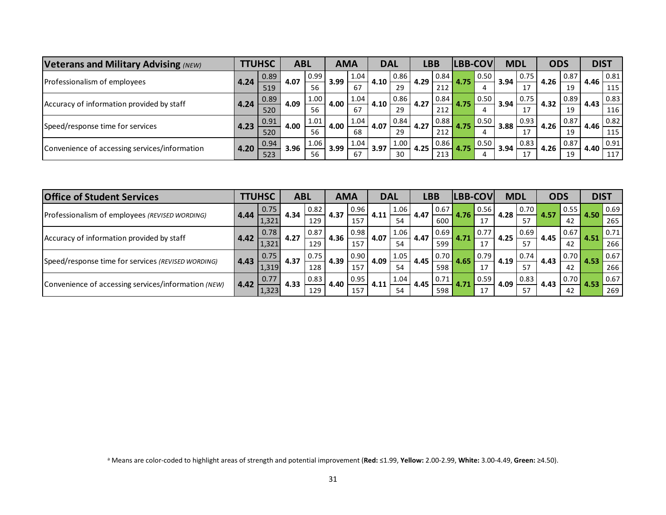| <b>Veterans and Military Advising (NEW)</b>   | <b>TTUHSC</b> |      | <b>ABL</b> |                    | <b>AMA</b> |            | <b>DAL</b> |      | LBB  |      | <b>LBB-COV</b> |      | <b>MDL</b>   |      | <b>ODS</b> |      | <b>DIST</b> |      |
|-----------------------------------------------|---------------|------|------------|--------------------|------------|------------|------------|------|------|------|----------------|------|--------------|------|------------|------|-------------|------|
| Professionalism of employees                  | 4.24          | 0.89 | 4.07       | 0.99               | 3.99       | 1.04       | 4.10       | 0.86 | 4.29 | 0.84 | 4.75           | 0.50 | 3.94         | 0.75 | 4.26       | 0.87 | 4.46        | 0.81 |
|                                               |               | 519  |            | 56                 |            | 67         |            | 29   |      | 212  |                |      |              |      |            | 19   |             | 115  |
|                                               |               | 0.89 |            | 1.00               | 4.00       | 1.04       | 4.10       | 0.86 | 4.27 | 0.84 | 4.75           | 0.50 | 3.94         | 0.75 | 4.32       | 0.89 | 4.43        | 0.83 |
| Accuracy of information provided by staff     | 4.24          | 520  | 4.09       | 56                 |            | 67         |            | 29   |      | 212  |                |      |              | 17   |            | 19   |             | 116  |
|                                               |               | 0.91 |            | 1.01<br>4.00<br>56 | 1.04       |            | 0.84       |      | 0.88 | 4.75 | 0.50           | 3.88 | $\vert$ 0.93 | 4.26 | 0.87       | 4.46 | 0.82        |      |
| Speed/response time for services              | 4.23          | 520  | 4.00       |                    |            | 68         | 4.07       | 29   | 4.27 | 212  |                |      |              | 17   |            | 19   |             | 115  |
|                                               |               | 0.94 |            | 1.06               |            | 1.04       |            | 1.00 |      | 0.86 | 4.75           | 0.50 | 3.94         | 0.83 |            | 0.87 |             | 0.91 |
| Convenience of accessing services/information | 4.20          | 523  | 3.96       | 56                 | 3.99       | 3.97<br>67 | 30         | 4.25 | 213  |      |                |      | 17           | 4.26 | 19         | 4.40 | 117         |      |

| <b>Office of Student Services</b>                   |      | <b>TTUHSC</b> |      | <b>ABL</b> |      | <b>AMA</b> |      | <b>DAL</b> |      | <b>LBB</b> | <b>LBB-COV</b> |      | <b>MDL</b> |      | <b>ODS</b> |      | <b>DIST</b> |      |
|-----------------------------------------------------|------|---------------|------|------------|------|------------|------|------------|------|------------|----------------|------|------------|------|------------|------|-------------|------|
| Professionalism of employees (REVISED WORDING)      | 4.44 | 0.75          | 4.34 | 0.82       | 4.37 | 0.96       | 4.11 | 1.06       | 4.47 | 0.67       | 4.76           | 0.56 | 4.28       | 0.70 | 4.57       | 0.55 | 4.50        | 0.69 |
|                                                     |      | 1,321         |      | 129        |      | 157        |      | 54         |      | 600        |                | 17   |            | 57   |            | 42   |             | 265  |
|                                                     |      | 0.78          |      | 0.87       | 4.36 | 0.98       | 4.07 | 1.06       | 4.47 | 0.69       |                | 0.77 | 4.25       | 0.69 | 4.45       | 0.67 | 4.51        | 0.71 |
| Accuracy of information provided by staff           | 4.42 | 1,321         | 4.27 | 129        |      | 157        |      | 54         |      | 599        |                | 17   |            | 57   |            | 42   |             | 266  |
|                                                     |      | 0.75          | 4.37 | 0.75       | 0.90 | 4.09       | 1.05 | 4.45       | 0.70 | 4.65       | 0.79           | 4.19 | 0.74       |      | 0.70       | 4.53 | 0.67        |      |
| Speed/response time for services (REVISED WORDING)  | 4.43 | 1,319         |      | 128        | 4.39 | 157        |      | 54         |      | 598        |                | 17   |            | 57   |            | 42   |             | 266  |
|                                                     |      | 0.77          |      | 0.83       |      | 0.95       |      | 1.04       | 4.45 | 0.71       |                | 0.59 | 4.09       | 0.83 |            | 0.70 | 4.53        | 0.67 |
| Convenience of accessing services/information (NEW) | 4.42 | 1,323         | 4.33 | 129        | 4.40 | 157        | 4.11 | 54         |      | 598        |                | 17   |            | 57   | 4.43       | 42   |             | 269  |